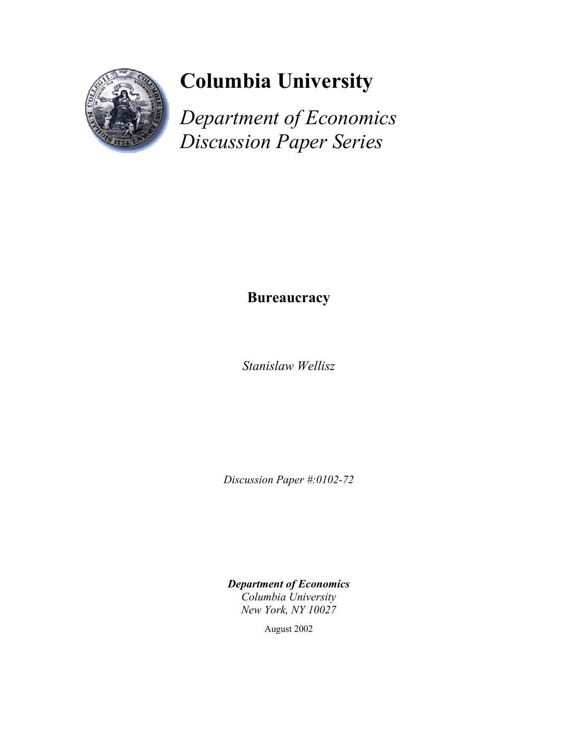

# **Columbia University**

*Department of Economics Discussion Paper Series*

# **Bureaucracy**

*Stanislaw Wellisz* 

*Discussion Paper #:0102-72* 

*Department of Economics Columbia University New York, NY 10027* 

August 2002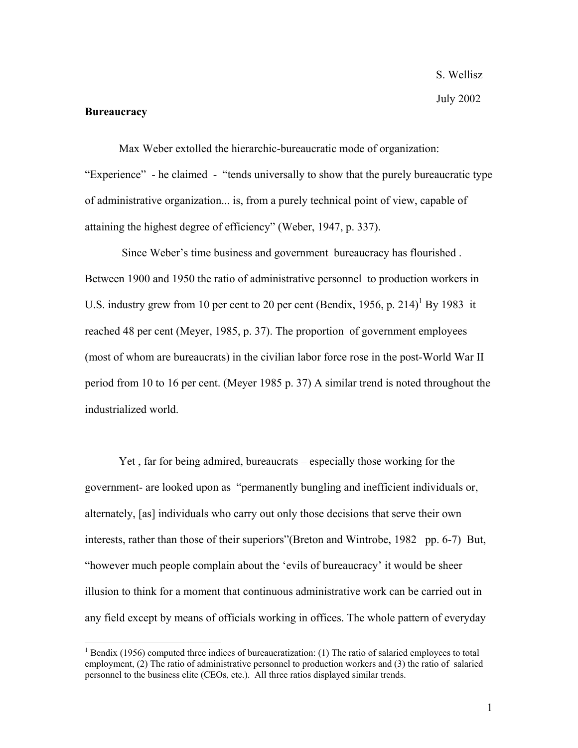#### **Bureaucracy**

 $\overline{a}$ 

Max Weber extolled the hierarchic-bureaucratic mode of organization: "Experience" - he claimed - "tends universally to show that the purely bureaucratic type of administrative organization... is, from a purely technical point of view, capable of attaining the highest degree of efficiency" (Weber, 1947, p. 337).

 Since Weber's time business and government bureaucracy has flourished . Between 1900 and 1950 the ratio of administrative personnel to production workers in U.S. industry grew from 10 per cent to 20 per cent (Bendix, 1956, p. 214)<sup>1</sup> By 1983 it reached 48 per cent (Meyer, 1985, p. 37). The proportion of government employees (most of whom are bureaucrats) in the civilian labor force rose in the post-World War II period from 10 to 16 per cent. (Meyer 1985 p. 37) A similar trend is noted throughout the industrialized world.

Yet , far for being admired, bureaucrats – especially those working for the government- are looked upon as "permanently bungling and inefficient individuals or, alternately, [as] individuals who carry out only those decisions that serve their own interests, rather than those of their superiors"(Breton and Wintrobe, 1982 pp. 6-7) But, "however much people complain about the 'evils of bureaucracy' it would be sheer illusion to think for a moment that continuous administrative work can be carried out in any field except by means of officials working in offices. The whole pattern of everyday

 $1$  Bendix (1956) computed three indices of bureaucratization: (1) The ratio of salaried employees to total employment, (2) The ratio of administrative personnel to production workers and (3) the ratio of salaried personnel to the business elite (CEOs, etc.). All three ratios displayed similar trends.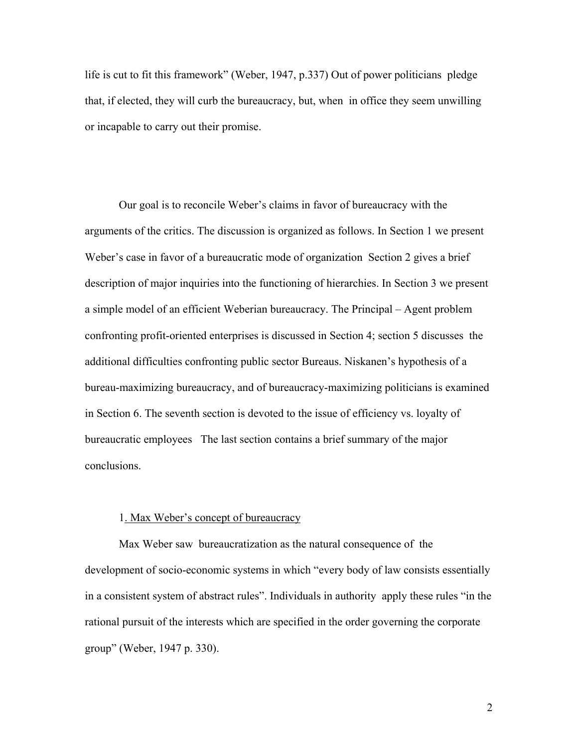life is cut to fit this framework" (Weber, 1947, p.337) Out of power politicians pledge that, if elected, they will curb the bureaucracy, but, when in office they seem unwilling or incapable to carry out their promise.

Our goal is to reconcile Weber's claims in favor of bureaucracy with the arguments of the critics. The discussion is organized as follows. In Section 1 we present Weber's case in favor of a bureaucratic mode of organization Section 2 gives a brief description of major inquiries into the functioning of hierarchies. In Section 3 we present a simple model of an efficient Weberian bureaucracy. The Principal – Agent problem confronting profit-oriented enterprises is discussed in Section 4; section 5 discusses the additional difficulties confronting public sector Bureaus. Niskanen's hypothesis of a bureau-maximizing bureaucracy, and of bureaucracy-maximizing politicians is examined in Section 6. The seventh section is devoted to the issue of efficiency vs. loyalty of bureaucratic employees The last section contains a brief summary of the major conclusions.

#### 1. Max Weber's concept of bureaucracy

Max Weber saw bureaucratization as the natural consequence of the development of socio-economic systems in which "every body of law consists essentially in a consistent system of abstract rules". Individuals in authority apply these rules "in the rational pursuit of the interests which are specified in the order governing the corporate group" (Weber, 1947 p. 330).

2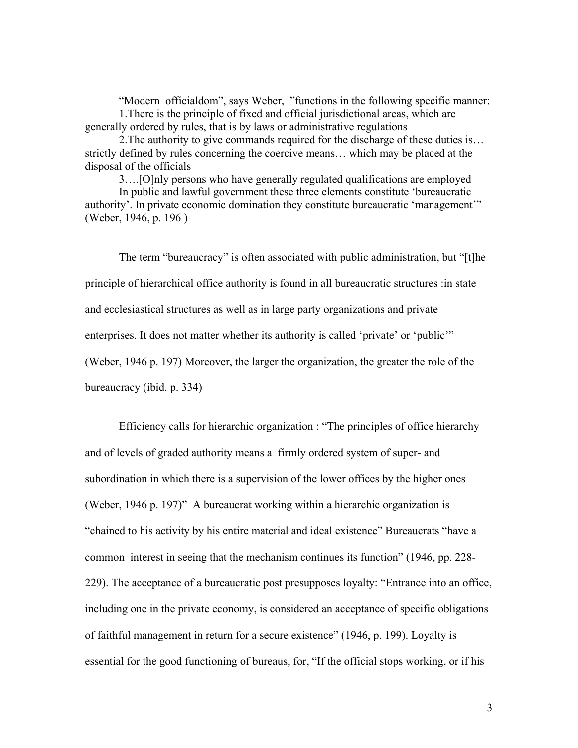"Modern officialdom", says Weber, "functions in the following specific manner: 1.There is the principle of fixed and official jurisdictional areas, which are generally ordered by rules, that is by laws or administrative regulations

2.The authority to give commands required for the discharge of these duties is… strictly defined by rules concerning the coercive means… which may be placed at the disposal of the officials

3….[O]nly persons who have generally regulated qualifications are employed

In public and lawful government these three elements constitute 'bureaucratic authority'. In private economic domination they constitute bureaucratic 'management'" (Weber, 1946, p. 196 )

The term "bureaucracy" is often associated with public administration, but "[t]he principle of hierarchical office authority is found in all bureaucratic structures :in state and ecclesiastical structures as well as in large party organizations and private enterprises. It does not matter whether its authority is called 'private' or 'public'" (Weber, 1946 p. 197) Moreover, the larger the organization, the greater the role of the bureaucracy (ibid. p. 334)

 Efficiency calls for hierarchic organization : "The principles of office hierarchy and of levels of graded authority means a firmly ordered system of super- and subordination in which there is a supervision of the lower offices by the higher ones (Weber, 1946 p. 197)" A bureaucrat working within a hierarchic organization is "chained to his activity by his entire material and ideal existence" Bureaucrats "have a common interest in seeing that the mechanism continues its function" (1946, pp. 228- 229). The acceptance of a bureaucratic post presupposes loyalty: "Entrance into an office, including one in the private economy, is considered an acceptance of specific obligations of faithful management in return for a secure existence" (1946, p. 199). Loyalty is essential for the good functioning of bureaus, for, "If the official stops working, or if his

3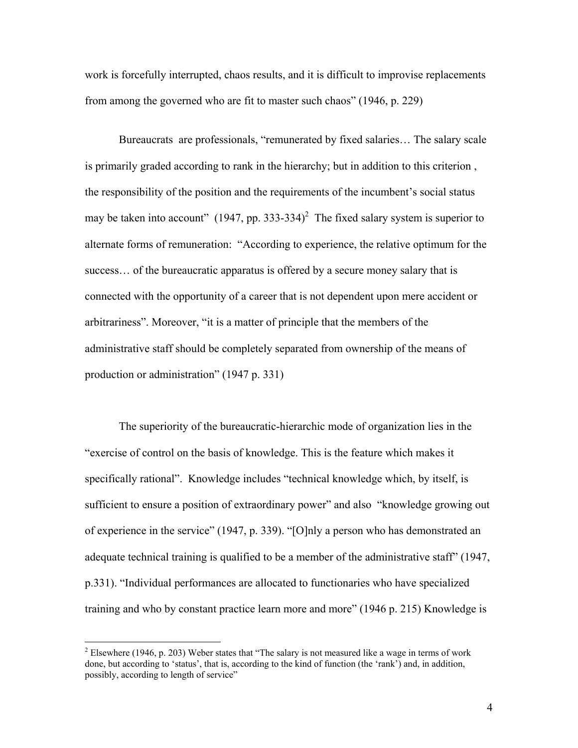work is forcefully interrupted, chaos results, and it is difficult to improvise replacements from among the governed who are fit to master such chaos" (1946, p. 229)

 Bureaucrats are professionals, "remunerated by fixed salaries… The salary scale is primarily graded according to rank in the hierarchy; but in addition to this criterion , the responsibility of the position and the requirements of the incumbent's social status may be taken into account"  $(1947, pp. 333-334)^2$  The fixed salary system is superior to alternate forms of remuneration: "According to experience, the relative optimum for the success… of the bureaucratic apparatus is offered by a secure money salary that is connected with the opportunity of a career that is not dependent upon mere accident or arbitrariness". Moreover, "it is a matter of principle that the members of the administrative staff should be completely separated from ownership of the means of production or administration" (1947 p. 331)

 The superiority of the bureaucratic-hierarchic mode of organization lies in the "exercise of control on the basis of knowledge. This is the feature which makes it specifically rational". Knowledge includes "technical knowledge which, by itself, is sufficient to ensure a position of extraordinary power" and also "knowledge growing out of experience in the service" (1947, p. 339). "[O]nly a person who has demonstrated an adequate technical training is qualified to be a member of the administrative staff" (1947, p.331). "Individual performances are allocated to functionaries who have specialized training and who by constant practice learn more and more" (1946 p. 215) Knowledge is

<sup>&</sup>lt;sup>2</sup> Elsewhere (1946, p. 203) Weber states that "The salary is not measured like a wage in terms of work done, but according to 'status', that is, according to the kind of function (the 'rank') and, in addition, possibly, according to length of service"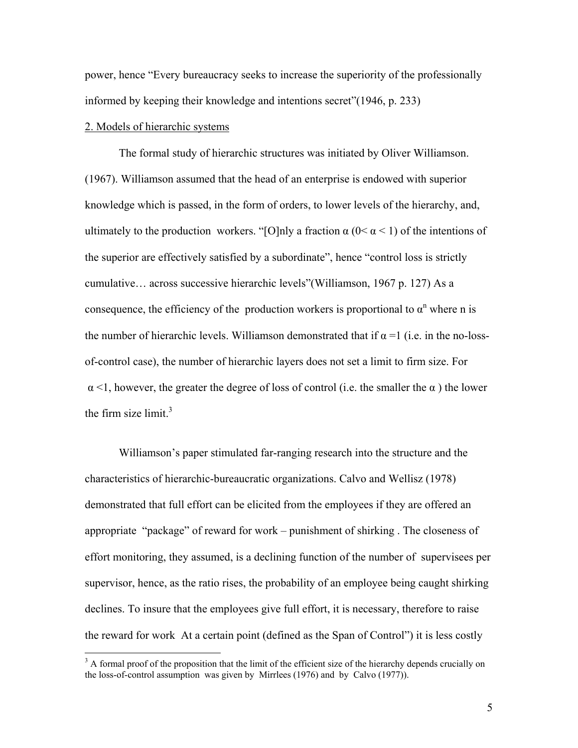power, hence "Every bureaucracy seeks to increase the superiority of the professionally informed by keeping their knowledge and intentions secret"(1946, p. 233)

# 2. Models of hierarchic systems

 $\overline{a}$ 

 The formal study of hierarchic structures was initiated by Oliver Williamson. (1967). Williamson assumed that the head of an enterprise is endowed with superior knowledge which is passed, in the form of orders, to lower levels of the hierarchy, and, ultimately to the production workers. "[O]nly a fraction  $\alpha$  (0<  $\alpha$  < 1) of the intentions of the superior are effectively satisfied by a subordinate", hence "control loss is strictly cumulative… across successive hierarchic levels"(Williamson, 1967 p. 127) As a consequence, the efficiency of the production workers is proportional to  $\alpha^n$  where n is the number of hierarchic levels. Williamson demonstrated that if  $\alpha = 1$  (i.e. in the no-lossof-control case), the number of hierarchic layers does not set a limit to firm size. For  $\alpha$  <1, however, the greater the degree of loss of control (i.e. the smaller the  $\alpha$ ) the lower the firm size  $\lim_{x \to 3}$ 

 Williamson's paper stimulated far-ranging research into the structure and the characteristics of hierarchic-bureaucratic organizations. Calvo and Wellisz (1978) demonstrated that full effort can be elicited from the employees if they are offered an appropriate "package" of reward for work – punishment of shirking . The closeness of effort monitoring, they assumed, is a declining function of the number of supervisees per supervisor, hence, as the ratio rises, the probability of an employee being caught shirking declines. To insure that the employees give full effort, it is necessary, therefore to raise the reward for work At a certain point (defined as the Span of Control") it is less costly

 $3$  A formal proof of the proposition that the limit of the efficient size of the hierarchy depends crucially on the loss-of-control assumption was given by Mirrlees (1976) and by Calvo (1977)).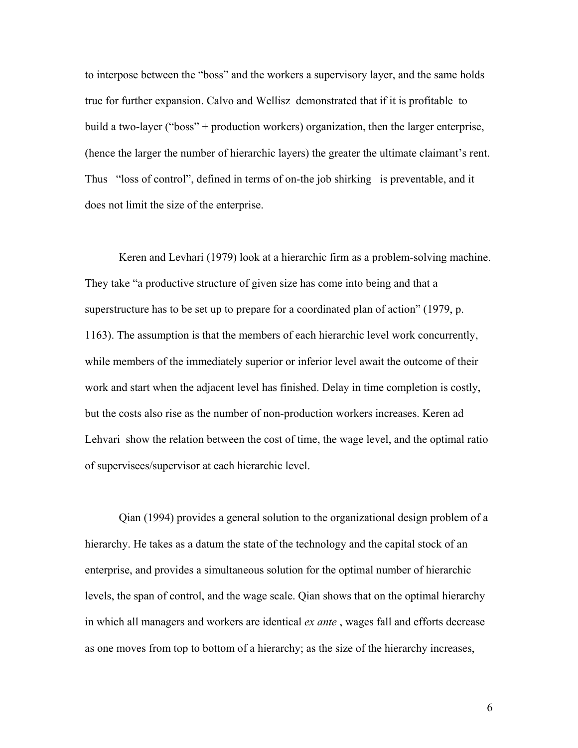to interpose between the "boss" and the workers a supervisory layer, and the same holds true for further expansion. Calvo and Wellisz demonstrated that if it is profitable to build a two-layer ("boss" + production workers) organization, then the larger enterprise, (hence the larger the number of hierarchic layers) the greater the ultimate claimant's rent. Thus "loss of control", defined in terms of on-the job shirking is preventable, and it does not limit the size of the enterprise.

 Keren and Levhari (1979) look at a hierarchic firm as a problem-solving machine. They take "a productive structure of given size has come into being and that a superstructure has to be set up to prepare for a coordinated plan of action" (1979, p. 1163). The assumption is that the members of each hierarchic level work concurrently, while members of the immediately superior or inferior level await the outcome of their work and start when the adjacent level has finished. Delay in time completion is costly, but the costs also rise as the number of non-production workers increases. Keren ad Lehvari show the relation between the cost of time, the wage level, and the optimal ratio of supervisees/supervisor at each hierarchic level.

 Qian (1994) provides a general solution to the organizational design problem of a hierarchy. He takes as a datum the state of the technology and the capital stock of an enterprise, and provides a simultaneous solution for the optimal number of hierarchic levels, the span of control, and the wage scale. Qian shows that on the optimal hierarchy in which all managers and workers are identical *ex ante* , wages fall and efforts decrease as one moves from top to bottom of a hierarchy; as the size of the hierarchy increases,

6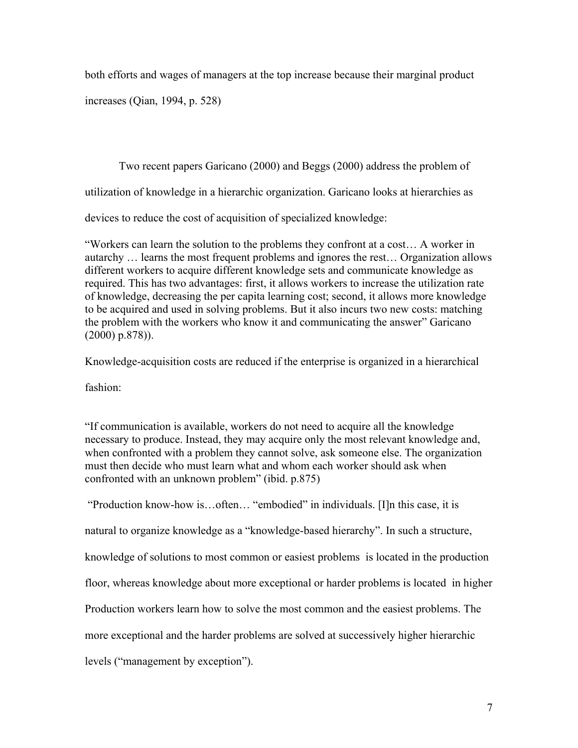both efforts and wages of managers at the top increase because their marginal product

increases (Qian, 1994, p. 528)

 Two recent papers Garicano (2000) and Beggs (2000) address the problem of utilization of knowledge in a hierarchic organization. Garicano looks at hierarchies as devices to reduce the cost of acquisition of specialized knowledge:

"Workers can learn the solution to the problems they confront at a cost… A worker in autarchy … learns the most frequent problems and ignores the rest… Organization allows different workers to acquire different knowledge sets and communicate knowledge as required. This has two advantages: first, it allows workers to increase the utilization rate of knowledge, decreasing the per capita learning cost; second, it allows more knowledge to be acquired and used in solving problems. But it also incurs two new costs: matching the problem with the workers who know it and communicating the answer" Garicano (2000) p.878)).

Knowledge-acquisition costs are reduced if the enterprise is organized in a hierarchical

fashion:

"If communication is available, workers do not need to acquire all the knowledge necessary to produce. Instead, they may acquire only the most relevant knowledge and, when confronted with a problem they cannot solve, ask someone else. The organization must then decide who must learn what and whom each worker should ask when confronted with an unknown problem" (ibid. p.875)

 "Production know-how is…often… "embodied" in individuals. [I]n this case, it is natural to organize knowledge as a "knowledge-based hierarchy". In such a structure, knowledge of solutions to most common or easiest problems is located in the production floor, whereas knowledge about more exceptional or harder problems is located in higher Production workers learn how to solve the most common and the easiest problems. The more exceptional and the harder problems are solved at successively higher hierarchic levels ("management by exception").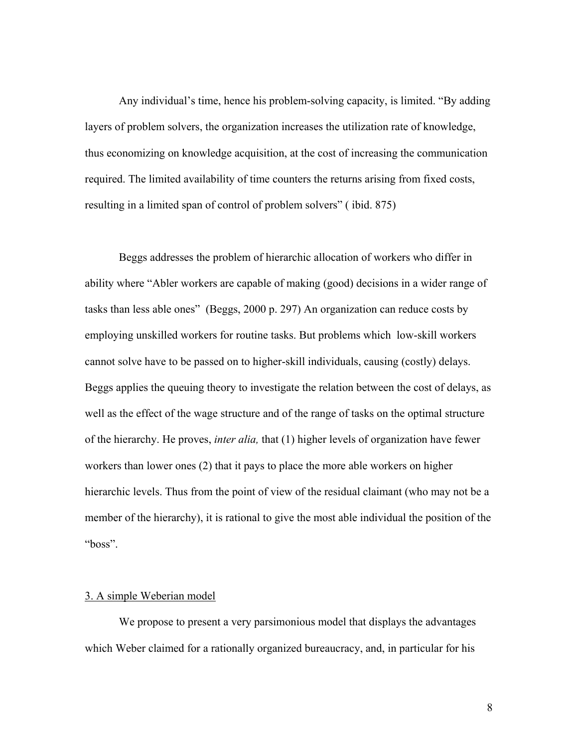Any individual's time, hence his problem-solving capacity, is limited. "By adding layers of problem solvers, the organization increases the utilization rate of knowledge, thus economizing on knowledge acquisition, at the cost of increasing the communication required. The limited availability of time counters the returns arising from fixed costs, resulting in a limited span of control of problem solvers" ( ibid. 875)

 Beggs addresses the problem of hierarchic allocation of workers who differ in ability where "Abler workers are capable of making (good) decisions in a wider range of tasks than less able ones" (Beggs, 2000 p. 297) An organization can reduce costs by employing unskilled workers for routine tasks. But problems which low-skill workers cannot solve have to be passed on to higher-skill individuals, causing (costly) delays. Beggs applies the queuing theory to investigate the relation between the cost of delays, as well as the effect of the wage structure and of the range of tasks on the optimal structure of the hierarchy. He proves, *inter alia,* that (1) higher levels of organization have fewer workers than lower ones (2) that it pays to place the more able workers on higher hierarchic levels. Thus from the point of view of the residual claimant (who may not be a member of the hierarchy), it is rational to give the most able individual the position of the "boss".

# 3. A simple Weberian model

 We propose to present a very parsimonious model that displays the advantages which Weber claimed for a rationally organized bureaucracy, and, in particular for his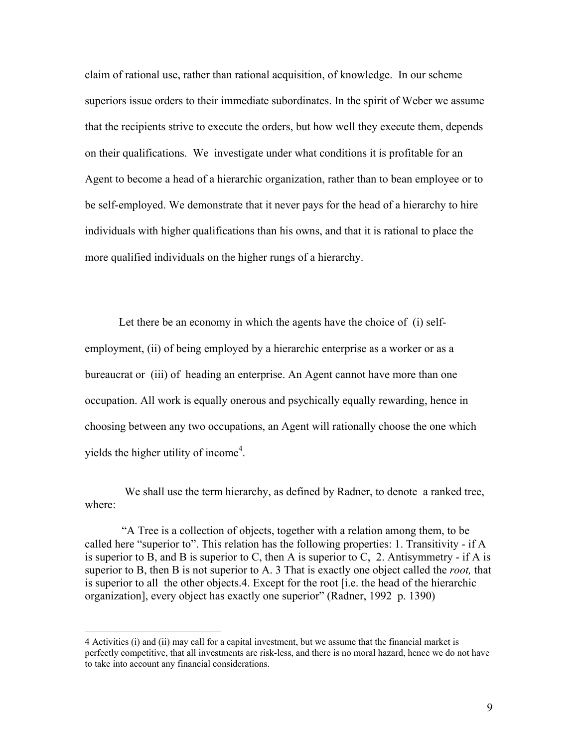claim of rational use, rather than rational acquisition, of knowledge. In our scheme superiors issue orders to their immediate subordinates. In the spirit of Weber we assume that the recipients strive to execute the orders, but how well they execute them, depends on their qualifications. We investigate under what conditions it is profitable for an Agent to become a head of a hierarchic organization, rather than to bean employee or to be self-employed. We demonstrate that it never pays for the head of a hierarchy to hire individuals with higher qualifications than his owns, and that it is rational to place the more qualified individuals on the higher rungs of a hierarchy.

 Let there be an economy in which the agents have the choice of (i) selfemployment, (ii) of being employed by a hierarchic enterprise as a worker or as a bureaucrat or (iii) of heading an enterprise. An Agent cannot have more than one occupation. All work is equally onerous and psychically equally rewarding, hence in choosing between any two occupations, an Agent will rationally choose the one which yields the higher utility of income<sup>4</sup>.

We shall use the term hierarchy, as defined by Radner, to denote a ranked tree, where:

 "A Tree is a collection of objects, together with a relation among them, to be called here "superior to". This relation has the following properties: 1. Transitivity - if A is superior to B, and B is superior to C, then A is superior to C, 2. Antisymmetry - if A is superior to B, then B is not superior to A. 3 That is exactly one object called the *root,* that is superior to all the other objects.4. Except for the root [i.e. the head of the hierarchic organization], every object has exactly one superior" (Radner, 1992 p. 1390)

<sup>4</sup> Activities (i) and (ii) may call for a capital investment, but we assume that the financial market is perfectly competitive, that all investments are risk-less, and there is no moral hazard, hence we do not have to take into account any financial considerations.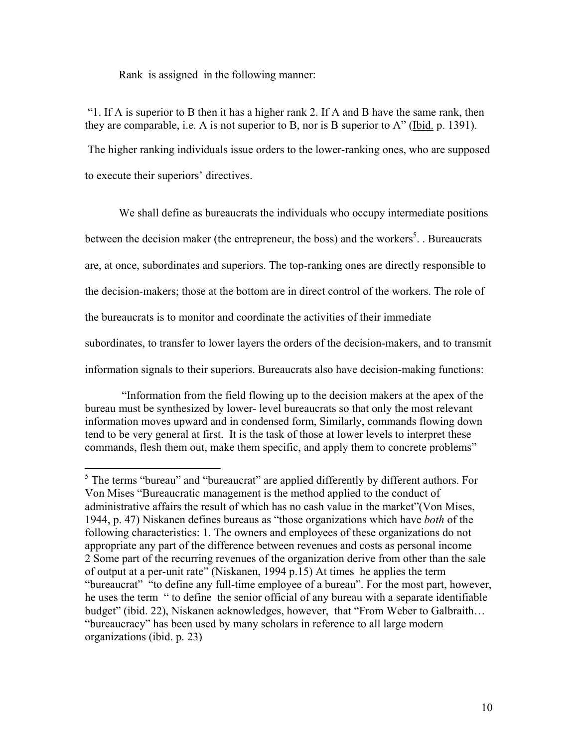Rank is assigned in the following manner:

 "1. If A is superior to B then it has a higher rank 2. If A and B have the same rank, then they are comparable, i.e. A is not superior to B, nor is B superior to A" (Ibid. p. 1391). The higher ranking individuals issue orders to the lower-ranking ones, who are supposed to execute their superiors' directives.

We shall define as bureaucrats the individuals who occupy intermediate positions between the decision maker (the entrepreneur, the boss) and the workers<sup>5</sup>. Bureaucrats are, at once, subordinates and superiors. The top-ranking ones are directly responsible to the decision-makers; those at the bottom are in direct control of the workers. The role of the bureaucrats is to monitor and coordinate the activities of their immediate subordinates, to transfer to lower layers the orders of the decision-makers, and to transmit information signals to their superiors. Bureaucrats also have decision-making functions:

 "Information from the field flowing up to the decision makers at the apex of the bureau must be synthesized by lower- level bureaucrats so that only the most relevant information moves upward and in condensed form, Similarly, commands flowing down tend to be very general at first. It is the task of those at lower levels to interpret these commands, flesh them out, make them specific, and apply them to concrete problems"

 $<sup>5</sup>$  The terms "bureau" and "bureaucrat" are applied differently by different authors. For</sup> Von Mises "Bureaucratic management is the method applied to the conduct of administrative affairs the result of which has no cash value in the market"(Von Mises, 1944, p. 47) Niskanen defines bureaus as "those organizations which have *both* of the following characteristics: 1. The owners and employees of these organizations do not appropriate any part of the difference between revenues and costs as personal income 2 Some part of the recurring revenues of the organization derive from other than the sale of output at a per-unit rate" (Niskanen, 1994 p.15) At times he applies the term "bureaucrat" "to define any full-time employee of a bureau". For the most part, however, he uses the term " to define the senior official of any bureau with a separate identifiable budget" (ibid. 22), Niskanen acknowledges, however, that "From Weber to Galbraith… "bureaucracy" has been used by many scholars in reference to all large modern organizations (ibid. p. 23)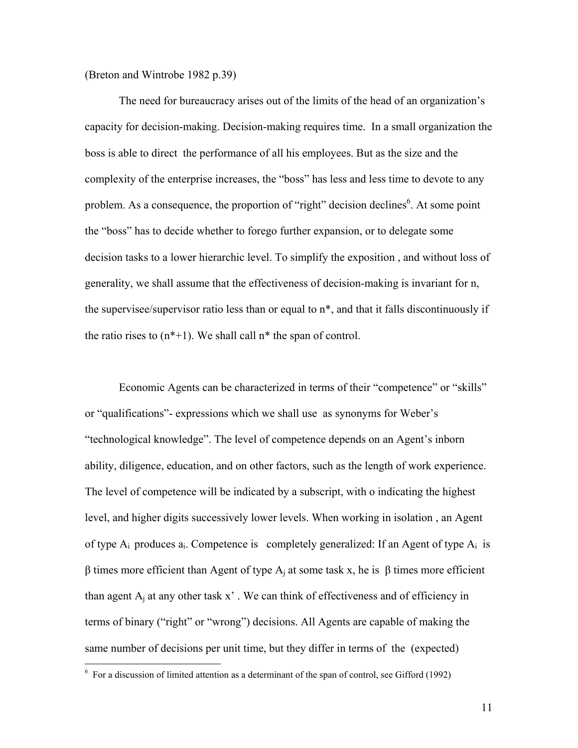(Breton and Wintrobe 1982 p.39)

The need for bureaucracy arises out of the limits of the head of an organization's capacity for decision-making. Decision-making requires time. In a small organization the boss is able to direct the performance of all his employees. But as the size and the complexity of the enterprise increases, the "boss" has less and less time to devote to any problem. As a consequence, the proportion of "right" decision declines<sup>6</sup>. At some point the "boss" has to decide whether to forego further expansion, or to delegate some decision tasks to a lower hierarchic level. To simplify the exposition , and without loss of generality, we shall assume that the effectiveness of decision-making is invariant for n, the supervisee/supervisor ratio less than or equal to n\*, and that it falls discontinuously if the ratio rises to  $(n^*+1)$ . We shall call  $n^*$  the span of control.

Economic Agents can be characterized in terms of their "competence" or "skills" or "qualifications"- expressions which we shall use as synonyms for Weber's "technological knowledge". The level of competence depends on an Agent's inborn ability, diligence, education, and on other factors, such as the length of work experience. The level of competence will be indicated by a subscript, with o indicating the highest level, and higher digits successively lower levels. When working in isolation , an Agent of type  $A_i$  produces  $a_i$ . Competence is completely generalized: If an Agent of type  $A_i$  is β times more efficient than Agent of type A<sub>i</sub> at some task x, he is β times more efficient than agent  $A_i$  at any other task x'. We can think of effectiveness and of efficiency in terms of binary ("right" or "wrong") decisions. All Agents are capable of making the same number of decisions per unit time, but they differ in terms of the (expected)

 $6\,$  For a discussion of limited attention as a determinant of the span of control, see Gifford (1992)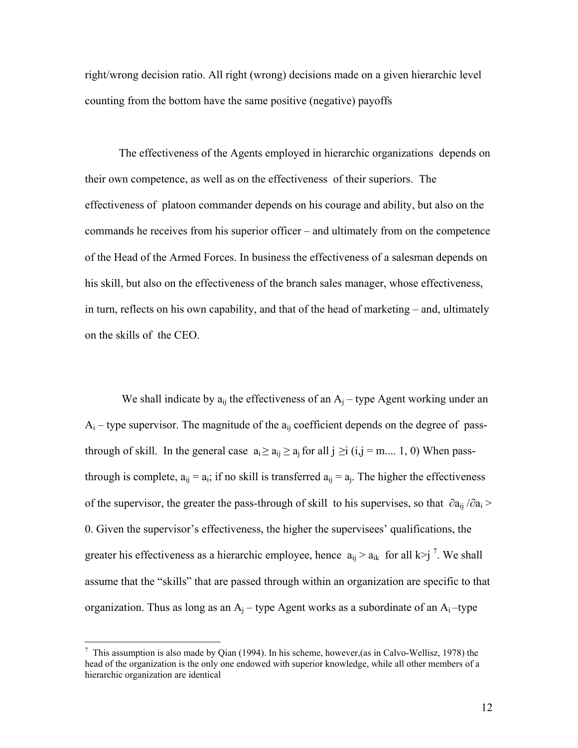right/wrong decision ratio. All right (wrong) decisions made on a given hierarchic level counting from the bottom have the same positive (negative) payoffs

The effectiveness of the Agents employed in hierarchic organizations depends on their own competence, as well as on the effectiveness of their superiors. The effectiveness of platoon commander depends on his courage and ability, but also on the commands he receives from his superior officer – and ultimately from on the competence of the Head of the Armed Forces. In business the effectiveness of a salesman depends on his skill, but also on the effectiveness of the branch sales manager, whose effectiveness, in turn, reflects on his own capability, and that of the head of marketing – and, ultimately on the skills of the CEO.

We shall indicate by  $a_{ij}$  the effectiveness of an  $A_i$  – type Agent working under an  $A_i$  – type supervisor. The magnitude of the  $a_{ij}$  coefficient depends on the degree of passthrough of skill. In the general case  $a_i \ge a_{ij} \ge a_j$  for all  $j \ge i$  (i,j = m.... 1, 0) When passthrough is complete,  $a_{ii} = a_{i}$ ; if no skill is transferred  $a_{ii} = a_{i}$ . The higher the effectiveness of the supervisor, the greater the pass-through of skill to his supervises, so that  $\partial a_{ii}/\partial a_i$  > 0. Given the supervisor's effectiveness, the higher the supervisees' qualifications, the greater his effectiveness as a hierarchic employee, hence  $a_{ij} > a_{ik}$  for all k>j<sup>7</sup>. We shall assume that the "skills" that are passed through within an organization are specific to that organization. Thus as long as an  $A_i$  – type Agent works as a subordinate of an  $A_i$  –type

1

<sup>&</sup>lt;sup>7</sup> This assumption is also made by Qian (1994). In his scheme, however, (as in Calvo-Wellisz, 1978) the head of the organization is the only one endowed with superior knowledge, while all other members of a hierarchic organization are identical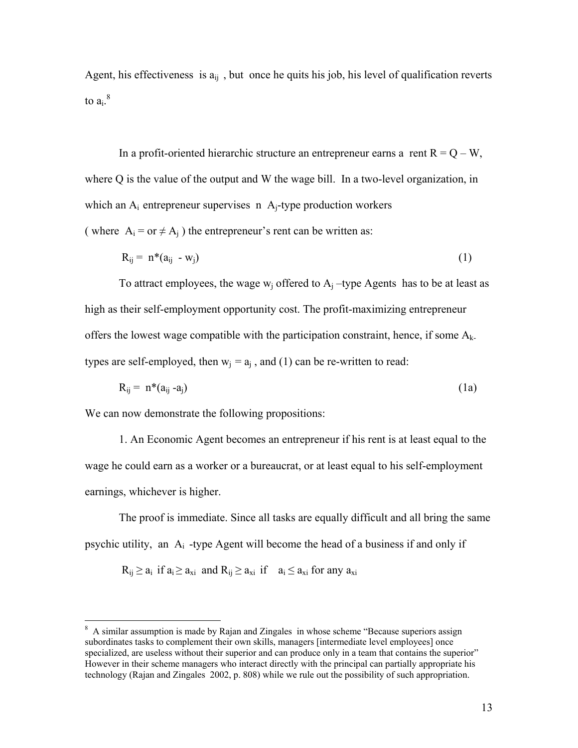Agent, his effectiveness is  $a_{ij}$ , but once he quits his job, his level of qualification reverts to  $a_i$ . $8$ 

In a profit-oriented hierarchic structure an entrepreneur earns a rent  $R = Q - W$ , where Q is the value of the output and W the wage bill. In a two-level organization, in which an  $A_i$  entrepreneur supervises n  $A_i$ -type production workers ( where  $A_i = or \neq A_i$  ) the entrepreneur's rent can be written as:

$$
R_{ij} = n^*(a_{ij} - w_j) \tag{1}
$$

To attract employees, the wage  $w_i$  offered to  $A_i$  –type Agents has to be at least as high as their self-employment opportunity cost. The profit-maximizing entrepreneur offers the lowest wage compatible with the participation constraint, hence, if some  $A_k$ . types are self-employed, then  $w_i = a_i$ , and (1) can be re-written to read:

$$
R_{ij} = n^*(a_{ij} - a_j) \tag{1a}
$$

We can now demonstrate the following propositions:

 $\overline{a}$ 

1. An Economic Agent becomes an entrepreneur if his rent is at least equal to the wage he could earn as a worker or a bureaucrat, or at least equal to his self-employment earnings, whichever is higher.

The proof is immediate. Since all tasks are equally difficult and all bring the same psychic utility, an  $A_i$ -type Agent will become the head of a business if and only if

 $R_{ij} \ge a_i$  if  $a_i \ge a_{xi}$  and  $R_{ij} \ge a_{xi}$  if  $a_i \le a_{xi}$  for any  $a_{xi}$ 

<sup>&</sup>lt;sup>8</sup> A similar assumption is made by Rajan and Zingales in whose scheme "Because superiors assign subordinates tasks to complement their own skills, managers [intermediate level employees] once specialized, are useless without their superior and can produce only in a team that contains the superior" However in their scheme managers who interact directly with the principal can partially appropriate his technology (Rajan and Zingales 2002, p. 808) while we rule out the possibility of such appropriation.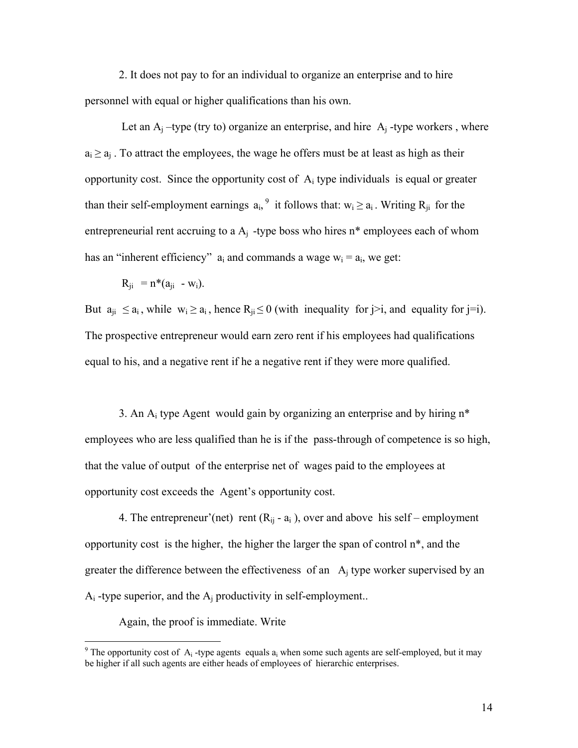2. It does not pay to for an individual to organize an enterprise and to hire personnel with equal or higher qualifications than his own.

Let an  $A_i$  –type (try to) organize an enterprise, and hire  $A_i$  -type workers, where  $a_i \ge a_i$ . To attract the employees, the wage he offers must be at least as high as their opportunity cost. Since the opportunity cost of  $A_i$  type individuals is equal or greater than their self-employment earnings  $a_i$ , it follows that:  $w_i \ge a_i$ . Writing  $R_{ji}$  for the entrepreneurial rent accruing to a  $A_i$ -type boss who hires n<sup>\*</sup> employees each of whom has an "inherent efficiency"  $a_i$  and commands a wage  $w_i = a_i$ , we get:

$$
R_{ji} = n^*(a_{ji} - w_i).
$$

But  $a_{ii} \le a_i$ , while  $w_i \ge a_i$ , hence  $R_{ii} \le 0$  (with inequality for  $i>i$ , and equality for  $i=i$ ). The prospective entrepreneur would earn zero rent if his employees had qualifications equal to his, and a negative rent if he a negative rent if they were more qualified.

3. An  $A_i$  type Agent would gain by organizing an enterprise and by hiring  $n^*$ employees who are less qualified than he is if the pass-through of competence is so high, that the value of output of the enterprise net of wages paid to the employees at opportunity cost exceeds the Agent's opportunity cost.

4. The entrepreneur'(net) rent  $(R_{ii} - a_i)$ , over and above his self – employment opportunity cost is the higher, the higher the larger the span of control n\*, and the greater the difference between the effectiveness of an  $A_i$  type worker supervised by an  $A_i$ -type superior, and the  $A_i$  productivity in self-employment...

Again, the proof is immediate. Write

<sup>&</sup>lt;sup>9</sup> The opportunity cost of  $A_i$ -type agents equals  $a_i$  when some such agents are self-employed, but it may be higher if all such agents are either heads of employees of hierarchic enterprises.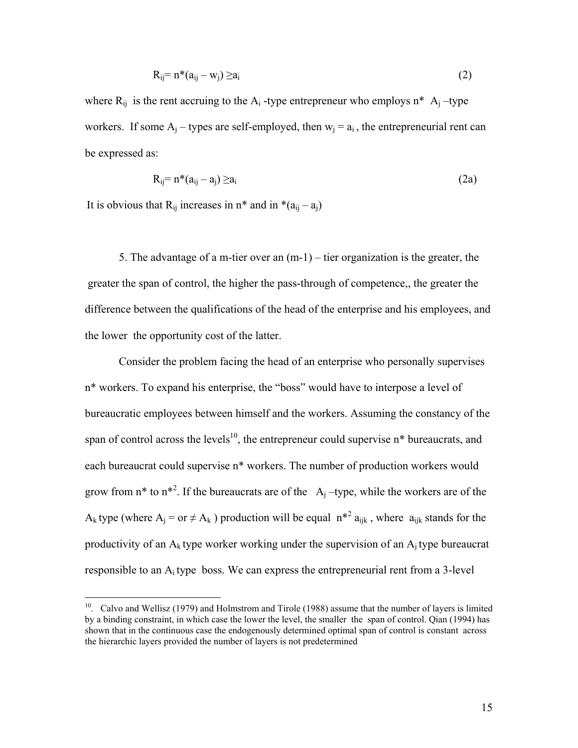$$
R_{ij} = n^*(a_{ij} - w_j) \ge a_i
$$
 (2)

where  $R_{ij}$  is the rent accruing to the  $A_i$ -type entrepreneur who employs n<sup>\*</sup>  $A_i$ -type workers. If some  $A_i$  – types are self-employed, then  $w_i = a_i$ , the entrepreneurial rent can be expressed as:

$$
R_{ij} = n^*(a_{ij} - a_j) \ge a_i \tag{2a}
$$

It is obvious that  $R_{ij}$  increases in  $n^*$  and in  $*(a_{ij} - a_j)$ 

1

 5. The advantage of a m-tier over an (m-1) – tier organization is the greater, the greater the span of control, the higher the pass-through of competence,, the greater the difference between the qualifications of the head of the enterprise and his employees, and the lower the opportunity cost of the latter.

Consider the problem facing the head of an enterprise who personally supervises n\* workers. To expand his enterprise, the "boss" would have to interpose a level of bureaucratic employees between himself and the workers. Assuming the constancy of the span of control across the levels<sup>10</sup>, the entrepreneur could supervise  $n^*$  bureaucrats, and each bureaucrat could supervise n\* workers. The number of production workers would grow from n<sup>\*</sup> to n<sup>\*2</sup>. If the bureaucrats are of the  $A_j$ -type, while the workers are of the A<sub>k</sub> type (where  $A_j = or \neq A_k$ ) production will be equal  $n^{*2} a_{ijk}$ , where  $a_{ijk}$  stands for the productivity of an  $A_k$  type worker working under the supervision of an  $A_i$  type bureaucrat responsible to an  $A_i$  type boss. We can express the entrepreneurial rent from a 3-level

<sup>&</sup>lt;sup>10</sup>. Calvo and Wellisz (1979) and Holmstrom and Tirole (1988) assume that the number of layers is limited by a binding constraint, in which case the lower the level, the smaller the span of control. Qian (1994) has shown that in the continuous case the endogenously determined optimal span of control is constant across the hierarchic layers provided the number of layers is not predetermined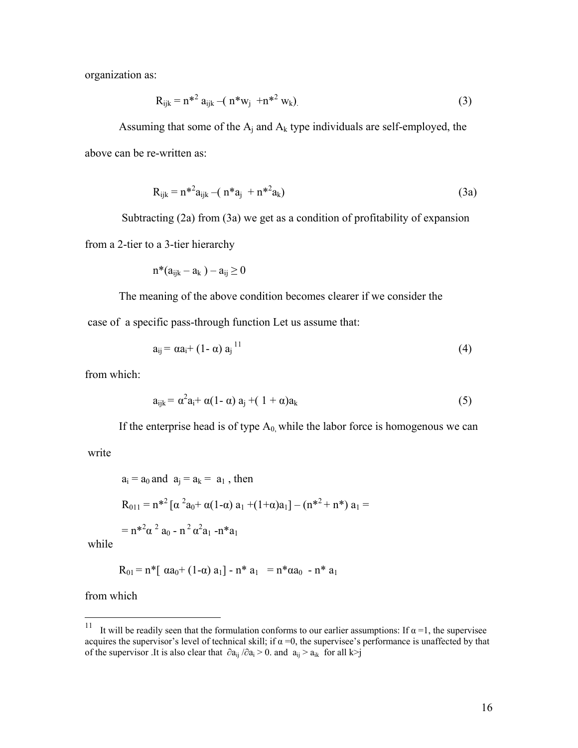organization as:

$$
R_{ijk} = n^{*2} a_{ijk} - (n^* w_j + n^{*2} w_k)
$$
 (3)

Assuming that some of the  $A_i$  and  $A_k$  type individuals are self-employed, the above can be re-written as:

$$
R_{ijk} = n^{*2} a_{ijk} - (n^* a_j + n^{*2} a_k)
$$
 (3a)

Subtracting (2a) from (3a) we get as a condition of profitability of expansion

from a 2-tier to a 3-tier hierarchy

$$
n^*(a_{ijk}-a_k)-a_{ij}\geq 0
$$

The meaning of the above condition becomes clearer if we consider the case of a specific pass-through function Let us assume that:

$$
a_{ij} = \alpha a_i + (1 - \alpha) a_j^{11} \tag{4}
$$

from which:

$$
a_{ijk} = \alpha^2 a_i + \alpha (1 - \alpha) a_j + (1 + \alpha) a_k \tag{5}
$$

If the enterprise head is of type  $A_0$  while the labor force is homogenous we can

write

$$
a_i = a_0 \text{ and } a_j = a_k = a_1, \text{ then}
$$
  
\n
$$
R_{011} = n^{*2} [\alpha^2 a_0 + \alpha (1 - \alpha) a_1 + (1 + \alpha) a_1] - (n^{*2} + n^*) a_1 =
$$
  
\n
$$
= n^{*2} \alpha^2 a_0 - n^2 \alpha^2 a_1 - n^* a_1
$$

while

$$
R_{01} = n^* \left[ \alpha a_0 + (1 - \alpha) a_1 \right] - n^* a_1 = n^* \alpha a_0 - n^* a_1
$$

from which

 $11 -$ It will be readily seen that the formulation conforms to our earlier assumptions: If  $\alpha = 1$ , the supervisee acquires the supervisor's level of technical skill; if  $\alpha = 0$ , the supervisee's performance is unaffected by that of the supervisor .It is also clear that  $\partial a_{ij}/\partial a_i > 0$ . and  $a_{ij} > a_{ik}$  for all k>j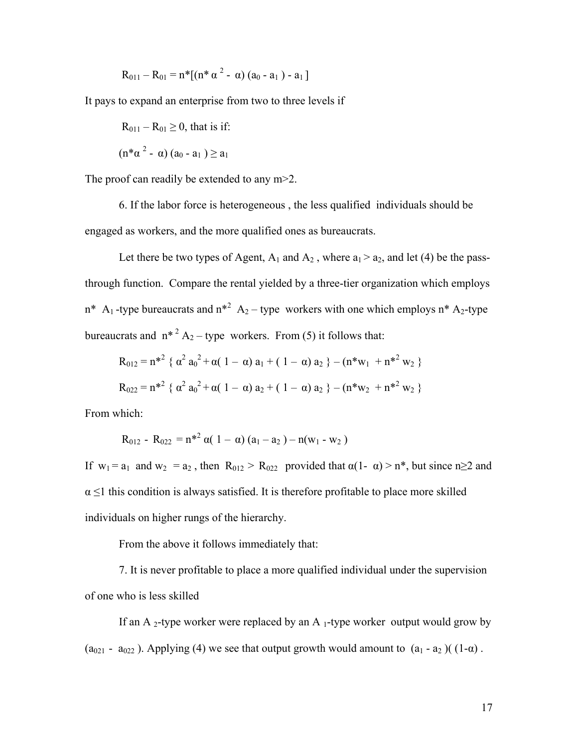$$
R_{011} - R_{01} = n^* [(n^* \alpha^2 - \alpha) (a_0 - a_1) - a_1]
$$

It pays to expand an enterprise from two to three levels if

$$
R_{011} - R_{01} \ge 0
$$
, that is if:

$$
(n^* \alpha^2 - \alpha) (a_0 - a_1) \ge a_1
$$

The proof can readily be extended to any m>2.

6. If the labor force is heterogeneous , the less qualified individuals should be engaged as workers, and the more qualified ones as bureaucrats.

Let there be two types of Agent,  $A_1$  and  $A_2$ , where  $a_1 > a_2$ , and let (4) be the passthrough function. Compare the rental yielded by a three-tier organization which employs  $n^*$  A<sub>1</sub>-type bureaucrats and  $n^{*2}$  A<sub>2</sub>-type workers with one which employs  $n^*$  A<sub>2</sub>-type bureaucrats and  $n^*$ <sup>2</sup> A<sub>2</sub> – type workers. From (5) it follows that:

$$
R_{012} = n^{*2} \{ \alpha^2 a_0^2 + \alpha (1 - \alpha) a_1 + (1 - \alpha) a_2 \} - (n^* w_1 + n^{*2} w_2 \}
$$
  

$$
R_{022} = n^{*2} \{ \alpha^2 a_0^2 + \alpha (1 - \alpha) a_2 + (1 - \alpha) a_2 \} - (n^* w_2 + n^{*2} w_2 \}
$$

From which:

$$
R_{012} - R_{022} = n^{*2} \alpha(1-\alpha) (a_1-a_2) - n(w_1 - w_2)
$$

If  $w_1 = a_1$  and  $w_2 = a_2$ , then  $R_{012} > R_{022}$  provided that  $\alpha(1 - \alpha) > n^*$ , but since  $n \ge 2$  and  $\alpha \leq 1$  this condition is always satisfied. It is therefore profitable to place more skilled individuals on higher rungs of the hierarchy.

From the above it follows immediately that:

7. It is never profitable to place a more qualified individual under the supervision of one who is less skilled

If an A 2-type worker were replaced by an A 1-type worker output would grow by  $(a_{021} - a_{022})$ . Applying (4) we see that output growth would amount to  $(a_1 - a_2)$  ( $(1 - \alpha)$ .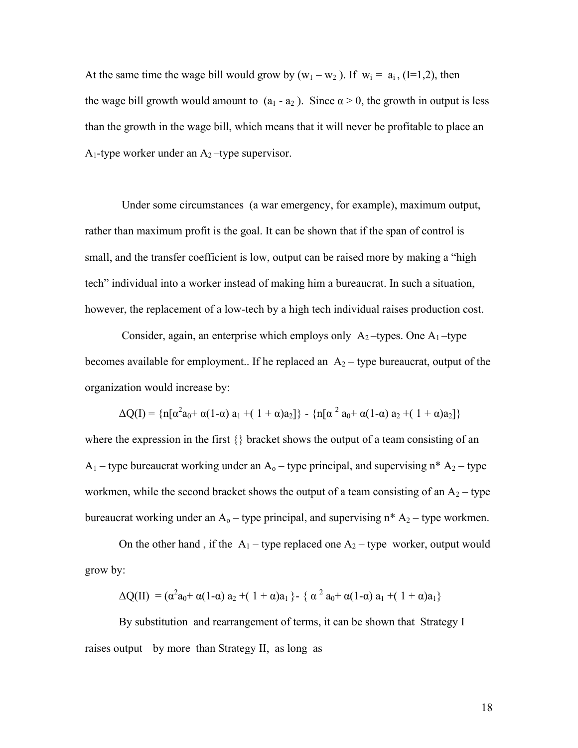At the same time the wage bill would grow by  $(w_1 - w_2)$ . If  $w_i = a_i$ , (I=1,2), then the wage bill growth would amount to  $(a_1 - a_2)$ . Since  $\alpha > 0$ , the growth in output is less than the growth in the wage bill, which means that it will never be profitable to place an  $A_1$ -type worker under an  $A_2$ -type supervisor.

 Under some circumstances (a war emergency, for example), maximum output, rather than maximum profit is the goal. It can be shown that if the span of control is small, and the transfer coefficient is low, output can be raised more by making a "high tech" individual into a worker instead of making him a bureaucrat. In such a situation, however, the replacement of a low-tech by a high tech individual raises production cost.

Consider, again, an enterprise which employs only  $A_2$ -types. One  $A_1$ -type becomes available for employment.. If he replaced an  $A_2$  – type bureaucrat, output of the organization would increase by:

 $\Delta Q(I) = \{n[\alpha^2 a_0 + \alpha(1-\alpha) a_1 + (1+\alpha) a_2]\} - \{n[\alpha^2 a_0 + \alpha(1-\alpha) a_2 + (1+\alpha) a_2]\}$ where the expression in the first {} bracket shows the output of a team consisting of an  $A_1$  – type bureaucrat working under an  $A_0$  – type principal, and supervising n\*  $A_2$  – type workmen, while the second bracket shows the output of a team consisting of an  $A_2$  – type bureaucrat working under an  $A_0$  – type principal, and supervising  $n^* A_2$  – type workmen.

On the other hand, if the  $A_1$  – type replaced one  $A_2$  – type worker, output would grow by:

$$
\Delta Q(II) = (\alpha^2 a_0 + \alpha (1-\alpha) a_2 + (1+\alpha) a_1 \} - \{ \alpha^2 a_0 + \alpha (1-\alpha) a_1 + (1+\alpha) a_1 \}
$$

By substitution and rearrangement of terms, it can be shown that Strategy I raises output by more than Strategy II, as long as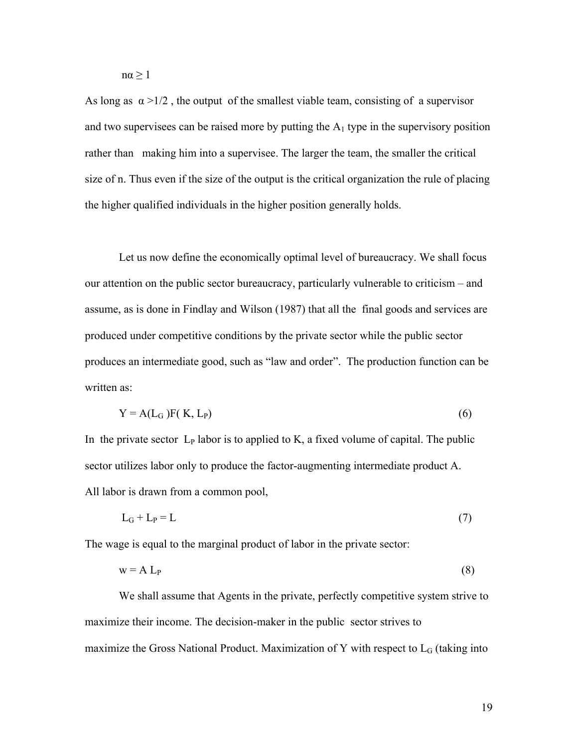$n\alpha \geq 1$ 

As long as  $\alpha > 1/2$ , the output of the smallest viable team, consisting of a supervisor and two supervisees can be raised more by putting the  $A_1$  type in the supervisory position rather than making him into a supervisee. The larger the team, the smaller the critical size of n. Thus even if the size of the output is the critical organization the rule of placing the higher qualified individuals in the higher position generally holds.

 Let us now define the economically optimal level of bureaucracy. We shall focus our attention on the public sector bureaucracy, particularly vulnerable to criticism – and assume, as is done in Findlay and Wilson (1987) that all the final goods and services are produced under competitive conditions by the private sector while the public sector produces an intermediate good, such as "law and order". The production function can be written as:

$$
Y = A(L_G)F(K, L_P)
$$
 (6)

In the private sector  $L_P$  labor is to applied to K, a fixed volume of capital. The public sector utilizes labor only to produce the factor-augmenting intermediate product A. All labor is drawn from a common pool,

$$
L_G + L_P = L \tag{7}
$$

The wage is equal to the marginal product of labor in the private sector:

$$
w = A L_P \tag{8}
$$

 We shall assume that Agents in the private, perfectly competitive system strive to maximize their income. The decision-maker in the public sector strives to maximize the Gross National Product. Maximization of Y with respect to  $L_G$  (taking into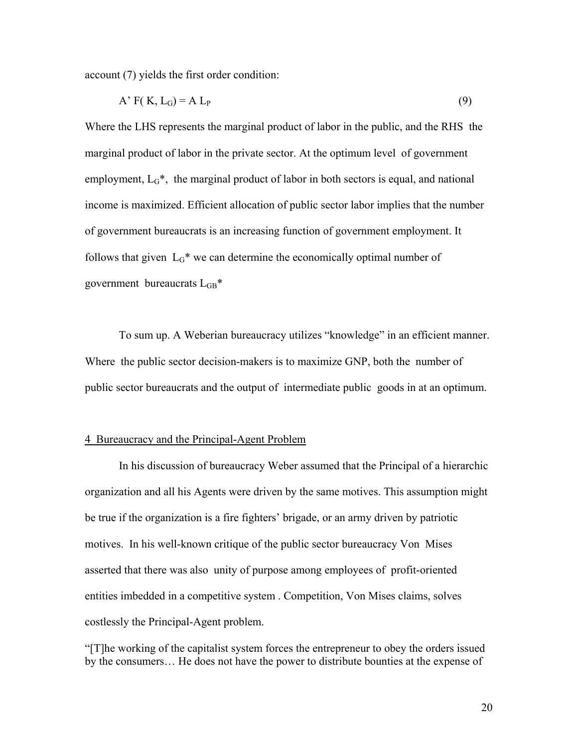account (7) yields the first order condition:

$$
A' F(K, L_G) = A L_P
$$
\n<sup>(9)</sup>

Where the LHS represents the marginal product of labor in the public, and the RHS the marginal product of labor in the private sector. At the optimum level of government employment,  $L<sub>G</sub>$ <sup>\*</sup>, the marginal product of labor in both sectors is equal, and national income is maximized. Efficient allocation of public sector labor implies that the number of government bureaucrats is an increasing function of government employment. It follows that given  $L<sub>G</sub>$ <sup>\*</sup> we can determine the economically optimal number of government bureaucrats  $L<sub>GB</sub>$ <sup>\*</sup>

 To sum up. A Weberian bureaucracy utilizes "knowledge" in an efficient manner. Where the public sector decision-makers is to maximize GNP, both the number of public sector bureaucrats and the output of intermediate public goods in at an optimum.

#### 4 Bureaucracy and the Principal-Agent Problem

 In his discussion of bureaucracy Weber assumed that the Principal of a hierarchic organization and all his Agents were driven by the same motives. This assumption might be true if the organization is a fire fighters' brigade, or an army driven by patriotic motives. In his well-known critique of the public sector bureaucracy Von Mises asserted that there was also unity of purpose among employees of profit-oriented entities imbedded in a competitive system . Competition, Von Mises claims, solves costlessly the Principal-Agent problem.

"[T]he working of the capitalist system forces the entrepreneur to obey the orders issued by the consumers… He does not have the power to distribute bounties at the expense of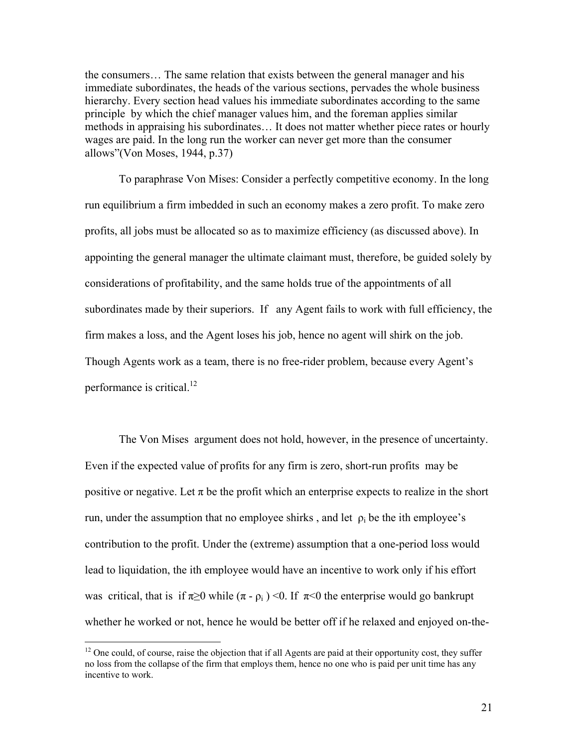the consumers… The same relation that exists between the general manager and his immediate subordinates, the heads of the various sections, pervades the whole business hierarchy. Every section head values his immediate subordinates according to the same principle by which the chief manager values him, and the foreman applies similar methods in appraising his subordinates… It does not matter whether piece rates or hourly wages are paid. In the long run the worker can never get more than the consumer allows"(Von Moses, 1944, p.37)

To paraphrase Von Mises: Consider a perfectly competitive economy. In the long run equilibrium a firm imbedded in such an economy makes a zero profit. To make zero profits, all jobs must be allocated so as to maximize efficiency (as discussed above). In appointing the general manager the ultimate claimant must, therefore, be guided solely by considerations of profitability, and the same holds true of the appointments of all subordinates made by their superiors. If any Agent fails to work with full efficiency, the firm makes a loss, and the Agent loses his job, hence no agent will shirk on the job. Though Agents work as a team, there is no free-rider problem, because every Agent's performance is critical.<sup>12</sup>

 The Von Mises argument does not hold, however, in the presence of uncertainty. Even if the expected value of profits for any firm is zero, short-run profits may be positive or negative. Let  $\pi$  be the profit which an enterprise expects to realize in the short run, under the assumption that no employee shirks, and let  $\rho_i$  be the ith employee's contribution to the profit. Under the (extreme) assumption that a one-period loss would lead to liquidation, the ith employee would have an incentive to work only if his effort was critical, that is if  $\pi \ge 0$  while  $(\pi - \rho_i)$  < 0. If  $\pi < 0$  the enterprise would go bankrupt whether he worked or not, hence he would be better off if he relaxed and enjoyed on-the-

 $12$  One could, of course, raise the objection that if all Agents are paid at their opportunity cost, they suffer no loss from the collapse of the firm that employs them, hence no one who is paid per unit time has any incentive to work.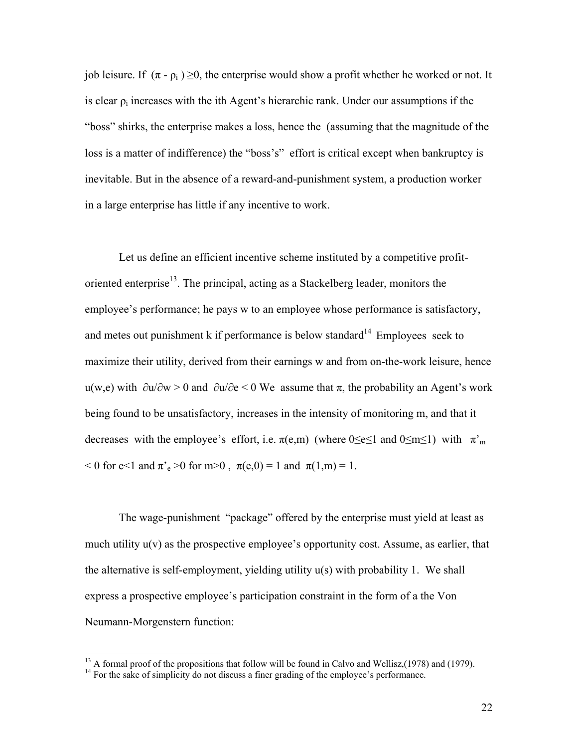job leisure. If  $(\pi - \rho_i) \ge 0$ , the enterprise would show a profit whether he worked or not. It is clear  $\rho_i$  increases with the ith Agent's hierarchic rank. Under our assumptions if the "boss" shirks, the enterprise makes a loss, hence the (assuming that the magnitude of the loss is a matter of indifference) the "boss's" effort is critical except when bankruptcy is inevitable. But in the absence of a reward-and-punishment system, a production worker in a large enterprise has little if any incentive to work.

Let us define an efficient incentive scheme instituted by a competitive profitoriented enterprise<sup>13</sup>. The principal, acting as a Stackelberg leader, monitors the employee's performance; he pays w to an employee whose performance is satisfactory, and metes out punishment  $k$  if performance is below standard<sup>14</sup> Employees seek to maximize their utility, derived from their earnings w and from on-the-work leisure, hence u(w,e) with  $\partial u / \partial w > 0$  and  $\partial u / \partial e < 0$  We assume that  $\pi$ , the probability an Agent's work being found to be unsatisfactory, increases in the intensity of monitoring m, and that it decreases with the employee's effort, i.e.  $\pi$ (e,m) (where 0≤e≤1 and 0≤m≤1) with  $\pi^{\prime}$ <sub>m</sub>  $0 \leq 0$  for e $\leq 1$  and  $\pi'_{e} > 0$  for m $> 0$ ,  $\pi(e, 0) = 1$  and  $\pi(1, m) = 1$ .

The wage-punishment "package" offered by the enterprise must yield at least as much utility  $u(v)$  as the prospective employee's opportunity cost. Assume, as earlier, that the alternative is self-employment, yielding utility u(s) with probability 1. We shall express a prospective employee's participation constraint in the form of a the Von Neumann-Morgenstern function:

<sup>&</sup>lt;sup>13</sup> A formal proof of the propositions that follow will be found in Calvo and Wellisz,(1978) and (1979).<br><sup>14</sup> For the sake of simplicity do not discuss a finer grading of the employee's performance.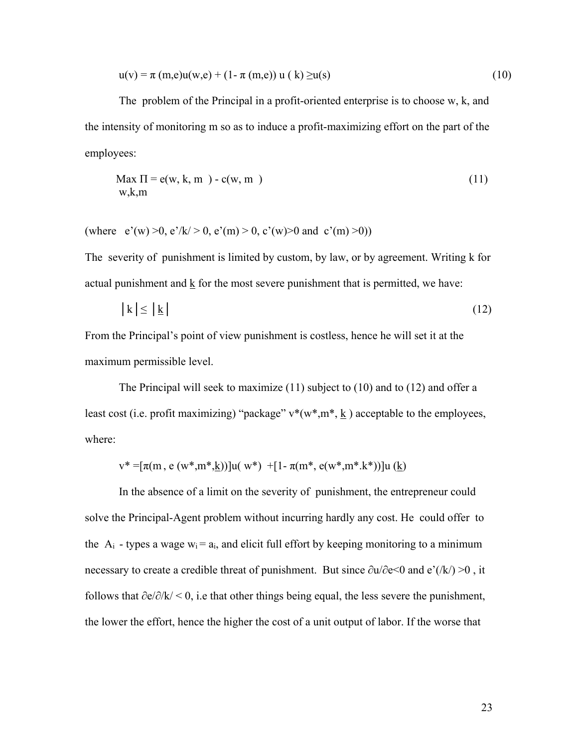$$
u(v) = \pi (m,e)u(w,e) + (1 - \pi (m,e)) u (k) \ge u(s)
$$
 (10)

The problem of the Principal in a profit-oriented enterprise is to choose w, k, and the intensity of monitoring m so as to induce a profit-maximizing effort on the part of the employees:

$$
\begin{aligned} \text{Max } \Pi &= e(w, k, m) - c(w, m) \\ \text{w}, k, m \end{aligned} \tag{11}
$$

(where  $e'(w) > 0$ ,  $e'/k' > 0$ ,  $e'(m) > 0$ ,  $c'(w) > 0$  and  $c'(m) > 0$ ))

The severity of punishment is limited by custom, by law, or by agreement. Writing k for actual punishment and  $\underline{k}$  for the most severe punishment that is permitted, we have:

$$
|k| \le |\underline{k}| \tag{12}
$$

From the Principal's point of view punishment is costless, hence he will set it at the maximum permissible level.

The Principal will seek to maximize (11) subject to (10) and to (12) and offer a least cost (i.e. profit maximizing) "package"  $v^*(w^*, m^*, \underline{k})$  acceptable to the employees, where:

$$
v^* = [\pi(m, e(w^*, m^*, \underline{k}))]u(w^*) + [1 - \pi(m^*, e(w^*, m^*, k^*))]u(\underline{k})
$$

In the absence of a limit on the severity of punishment, the entrepreneur could solve the Principal-Agent problem without incurring hardly any cost. He could offer to the  $A_i$  - types a wage  $w_i = a_i$ , and elicit full effort by keeping monitoring to a minimum necessary to create a credible threat of punishment. But since ∂u/∂e<0 and e'(/k/) >0 , it follows that  $\partial e/\partial k$ /<0, i.e that other things being equal, the less severe the punishment, the lower the effort, hence the higher the cost of a unit output of labor. If the worse that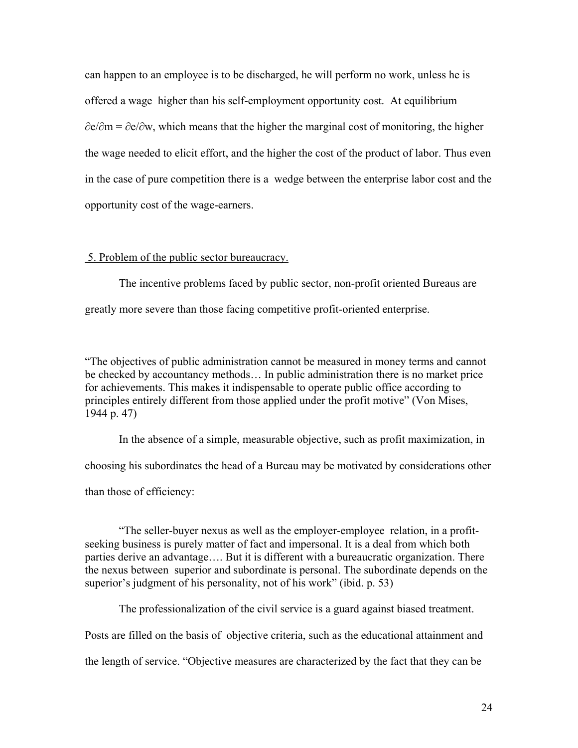can happen to an employee is to be discharged, he will perform no work, unless he is offered a wage higher than his self-employment opportunity cost. At equilibrium ∂e/∂m = ∂e/∂w, which means that the higher the marginal cost of monitoring, the higher the wage needed to elicit effort, and the higher the cost of the product of labor. Thus even in the case of pure competition there is a wedge between the enterprise labor cost and the opportunity cost of the wage-earners.

# 5. Problem of the public sector bureaucracy.

 The incentive problems faced by public sector, non-profit oriented Bureaus are greatly more severe than those facing competitive profit-oriented enterprise.

"The objectives of public administration cannot be measured in money terms and cannot be checked by accountancy methods… In public administration there is no market price for achievements. This makes it indispensable to operate public office according to principles entirely different from those applied under the profit motive" (Von Mises, 1944 p. 47)

In the absence of a simple, measurable objective, such as profit maximization, in

choosing his subordinates the head of a Bureau may be motivated by considerations other

than those of efficiency:

"The seller-buyer nexus as well as the employer-employee relation, in a profitseeking business is purely matter of fact and impersonal. It is a deal from which both parties derive an advantage…. But it is different with a bureaucratic organization. There the nexus between superior and subordinate is personal. The subordinate depends on the superior's judgment of his personality, not of his work" (ibid. p. 53)

The professionalization of the civil service is a guard against biased treatment.

Posts are filled on the basis of objective criteria, such as the educational attainment and

the length of service. "Objective measures are characterized by the fact that they can be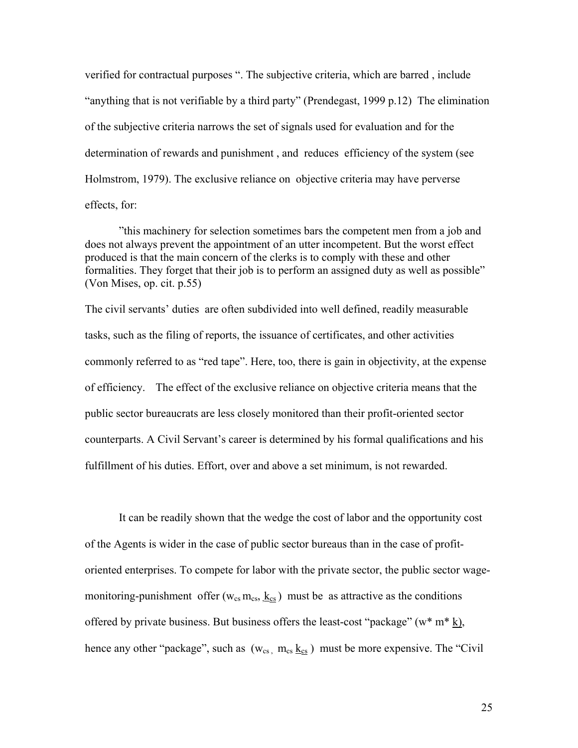verified for contractual purposes ". The subjective criteria, which are barred , include "anything that is not verifiable by a third party" (Prendegast, 1999 p.12) The elimination of the subjective criteria narrows the set of signals used for evaluation and for the determination of rewards and punishment , and reduces efficiency of the system (see Holmstrom, 1979). The exclusive reliance on objective criteria may have perverse effects, for:

 "this machinery for selection sometimes bars the competent men from a job and does not always prevent the appointment of an utter incompetent. But the worst effect produced is that the main concern of the clerks is to comply with these and other formalities. They forget that their job is to perform an assigned duty as well as possible" (Von Mises, op. cit. p.55)

The civil servants' duties are often subdivided into well defined, readily measurable tasks, such as the filing of reports, the issuance of certificates, and other activities commonly referred to as "red tape". Here, too, there is gain in objectivity, at the expense of efficiency. The effect of the exclusive reliance on objective criteria means that the public sector bureaucrats are less closely monitored than their profit-oriented sector counterparts. A Civil Servant's career is determined by his formal qualifications and his fulfillment of his duties. Effort, over and above a set minimum, is not rewarded.

It can be readily shown that the wedge the cost of labor and the opportunity cost of the Agents is wider in the case of public sector bureaus than in the case of profitoriented enterprises. To compete for labor with the private sector, the public sector wagemonitoring-punishment offer ( $w_{cs}$  m<sub>cs</sub>,  $\underline{k_{cs}}$ ) must be as attractive as the conditions offered by private business. But business offers the least-cost "package" ( $w^*$  m $*\underline{k}$ ), hence any other "package", such as  $(w_{cs}, m_{cs} \underline{k_{cs}})$  must be more expensive. The "Civil"

25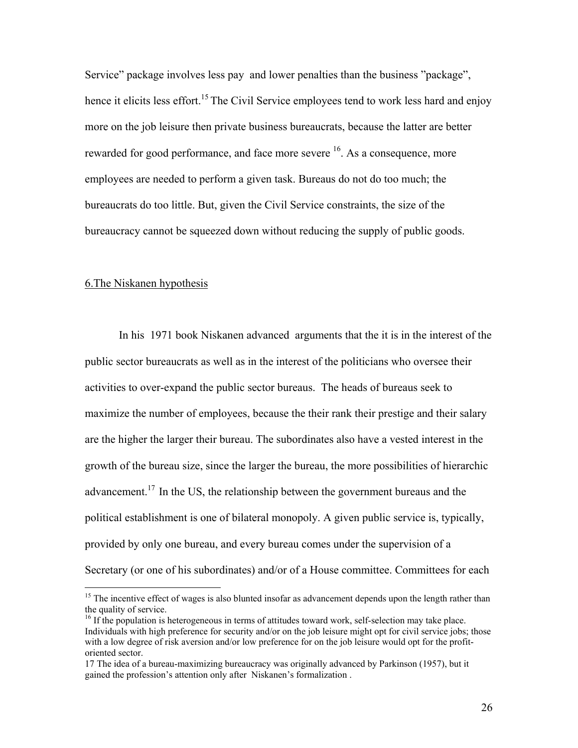Service" package involves less pay and lower penalties than the business "package", hence it elicits less effort.<sup>15</sup> The Civil Service employees tend to work less hard and enjoy more on the job leisure then private business bureaucrats, because the latter are better rewarded for good performance, and face more severe <sup>16</sup>. As a consequence, more employees are needed to perform a given task. Bureaus do not do too much; the bureaucrats do too little. But, given the Civil Service constraints, the size of the bureaucracy cannot be squeezed down without reducing the supply of public goods.

#### 6.The Niskanen hypothesis

 $\overline{a}$ 

In his 1971 book Niskanen advanced arguments that the it is in the interest of the public sector bureaucrats as well as in the interest of the politicians who oversee their activities to over-expand the public sector bureaus. The heads of bureaus seek to maximize the number of employees, because the their rank their prestige and their salary are the higher the larger their bureau. The subordinates also have a vested interest in the growth of the bureau size, since the larger the bureau, the more possibilities of hierarchic advancement.<sup>17</sup> In the US, the relationship between the government bureaus and the political establishment is one of bilateral monopoly. A given public service is, typically, provided by only one bureau, and every bureau comes under the supervision of a Secretary (or one of his subordinates) and/or of a House committee. Committees for each

<sup>&</sup>lt;sup>15</sup> The incentive effect of wages is also blunted insofar as advancement depends upon the length rather than the quality of service.

<sup>&</sup>lt;sup>16</sup> If the population is heterogeneous in terms of attitudes toward work, self-selection may take place. Individuals with high preference for security and/or on the job leisure might opt for civil service jobs; those with a low degree of risk aversion and/or low preference for on the job leisure would opt for the profitoriented sector.

<sup>17</sup> The idea of a bureau-maximizing bureaucracy was originally advanced by Parkinson (1957), but it gained the profession's attention only after Niskanen's formalization .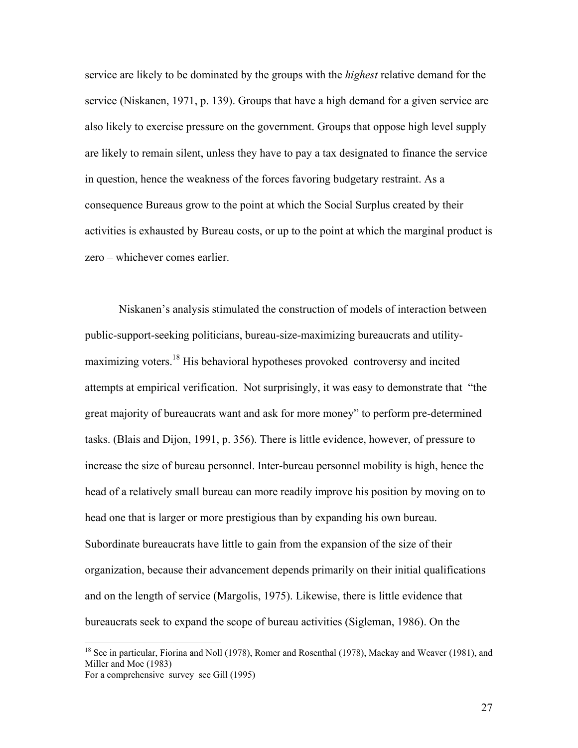service are likely to be dominated by the groups with the *highest* relative demand for the service (Niskanen, 1971, p. 139). Groups that have a high demand for a given service are also likely to exercise pressure on the government. Groups that oppose high level supply are likely to remain silent, unless they have to pay a tax designated to finance the service in question, hence the weakness of the forces favoring budgetary restraint. As a consequence Bureaus grow to the point at which the Social Surplus created by their activities is exhausted by Bureau costs, or up to the point at which the marginal product is zero – whichever comes earlier.

Niskanen's analysis stimulated the construction of models of interaction between public-support-seeking politicians, bureau-size-maximizing bureaucrats and utilitymaximizing voters.18 His behavioral hypotheses provoked controversy and incited attempts at empirical verification. Not surprisingly, it was easy to demonstrate that "the great majority of bureaucrats want and ask for more money" to perform pre-determined tasks. (Blais and Dijon, 1991, p. 356). There is little evidence, however, of pressure to increase the size of bureau personnel. Inter-bureau personnel mobility is high, hence the head of a relatively small bureau can more readily improve his position by moving on to head one that is larger or more prestigious than by expanding his own bureau. Subordinate bureaucrats have little to gain from the expansion of the size of their organization, because their advancement depends primarily on their initial qualifications and on the length of service (Margolis, 1975). Likewise, there is little evidence that bureaucrats seek to expand the scope of bureau activities (Sigleman, 1986). On the

1

<sup>&</sup>lt;sup>18</sup> See in particular, Fiorina and Noll (1978), Romer and Rosenthal (1978), Mackay and Weaver (1981), and Miller and Moe (1983) For a comprehensive survey see Gill (1995)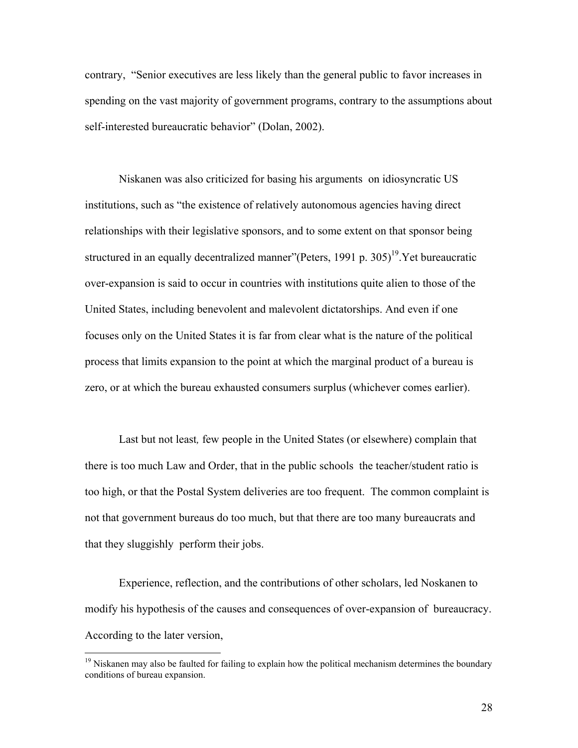contrary, "Senior executives are less likely than the general public to favor increases in spending on the vast majority of government programs, contrary to the assumptions about self-interested bureaucratic behavior" (Dolan, 2002).

Niskanen was also criticized for basing his arguments on idiosyncratic US institutions, such as "the existence of relatively autonomous agencies having direct relationships with their legislative sponsors, and to some extent on that sponsor being structured in an equally decentralized manner"(Peters, 1991 p. 305)<sup>19</sup>. Yet bureaucratic over-expansion is said to occur in countries with institutions quite alien to those of the United States, including benevolent and malevolent dictatorships. And even if one focuses only on the United States it is far from clear what is the nature of the political process that limits expansion to the point at which the marginal product of a bureau is zero, or at which the bureau exhausted consumers surplus (whichever comes earlier).

Last but not least*,* few people in the United States (or elsewhere) complain that there is too much Law and Order, that in the public schools the teacher/student ratio is too high, or that the Postal System deliveries are too frequent. The common complaint is not that government bureaus do too much, but that there are too many bureaucrats and that they sluggishly perform their jobs.

Experience, reflection, and the contributions of other scholars, led Noskanen to modify his hypothesis of the causes and consequences of over-expansion of bureaucracy. According to the later version,

<sup>&</sup>lt;sup>19</sup> Niskanen may also be faulted for failing to explain how the political mechanism determines the boundary conditions of bureau expansion.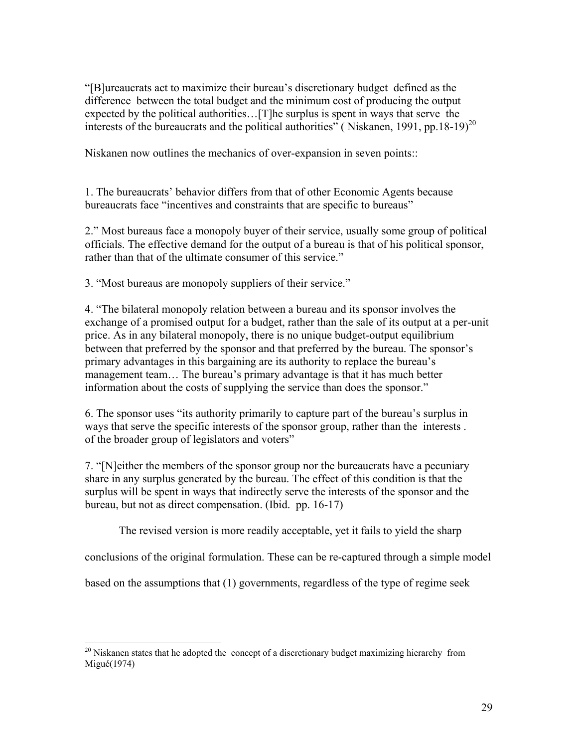"[B]ureaucrats act to maximize their bureau's discretionary budget defined as the difference between the total budget and the minimum cost of producing the output expected by the political authorities…[T]he surplus is spent in ways that serve the interests of the bureaucrats and the political authorities" (Niskanen, 1991, pp.18-19)<sup>20</sup>

Niskanen now outlines the mechanics of over-expansion in seven points::

1. The bureaucrats' behavior differs from that of other Economic Agents because bureaucrats face "incentives and constraints that are specific to bureaus"

2." Most bureaus face a monopoly buyer of their service, usually some group of political officials. The effective demand for the output of a bureau is that of his political sponsor, rather than that of the ultimate consumer of this service."

3. "Most bureaus are monopoly suppliers of their service."

4. "The bilateral monopoly relation between a bureau and its sponsor involves the exchange of a promised output for a budget, rather than the sale of its output at a per-unit price. As in any bilateral monopoly, there is no unique budget-output equilibrium between that preferred by the sponsor and that preferred by the bureau. The sponsor's primary advantages in this bargaining are its authority to replace the bureau's management team… The bureau's primary advantage is that it has much better information about the costs of supplying the service than does the sponsor."

6. The sponsor uses "its authority primarily to capture part of the bureau's surplus in ways that serve the specific interests of the sponsor group, rather than the interests . of the broader group of legislators and voters"

7. "[N]either the members of the sponsor group nor the bureaucrats have a pecuniary share in any surplus generated by the bureau. The effect of this condition is that the surplus will be spent in ways that indirectly serve the interests of the sponsor and the bureau, but not as direct compensation. (Ibid. pp. 16-17)

The revised version is more readily acceptable, yet it fails to yield the sharp

conclusions of the original formulation. These can be re-captured through a simple model

based on the assumptions that (1) governments, regardless of the type of regime seek

1

 $20$  Niskanen states that he adopted the concept of a discretionary budget maximizing hierarchy from Migué(1974)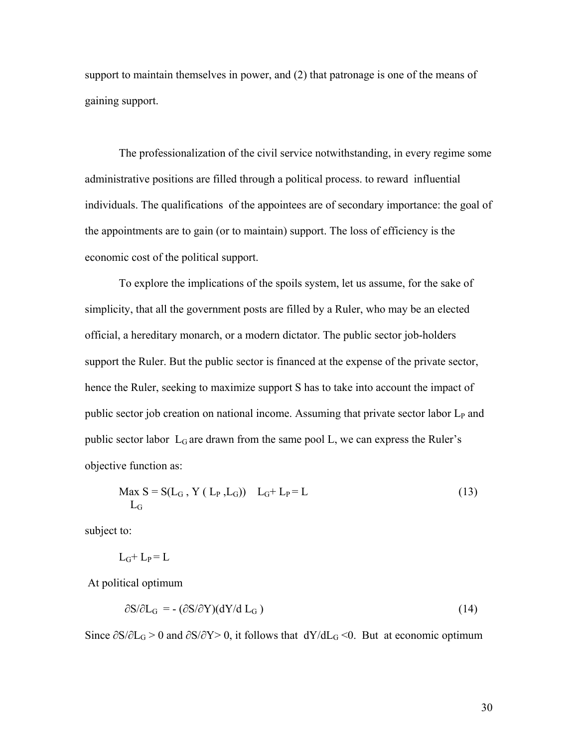support to maintain themselves in power, and (2) that patronage is one of the means of gaining support.

 The professionalization of the civil service notwithstanding, in every regime some administrative positions are filled through a political process. to reward influential individuals. The qualifications of the appointees are of secondary importance: the goal of the appointments are to gain (or to maintain) support. The loss of efficiency is the economic cost of the political support.

 To explore the implications of the spoils system, let us assume, for the sake of simplicity, that all the government posts are filled by a Ruler, who may be an elected official, a hereditary monarch, or a modern dictator. The public sector job-holders support the Ruler. But the public sector is financed at the expense of the private sector, hence the Ruler, seeking to maximize support S has to take into account the impact of public sector job creation on national income. Assuming that private sector labor  $L<sub>P</sub>$  and public sector labor  $L_G$  are drawn from the same pool L, we can express the Ruler's objective function as:

$$
\begin{aligned} \text{Max } S &= S(L_G \,, \, Y \, (\, L_P \,, L_G)) \quad L_G + L_P = L \\ L_G \end{aligned} \tag{13}
$$

subject to:

$$
L_G + L_P = L
$$

At political optimum

$$
\partial S/\partial L_G = -(\partial S/\partial Y)(dY/d L_G) \tag{14}
$$

Since  $\partial S/\partial L_G > 0$  and  $\partial S/\partial Y > 0$ , it follows that  $dY/dL_G \le 0$ . But at economic optimum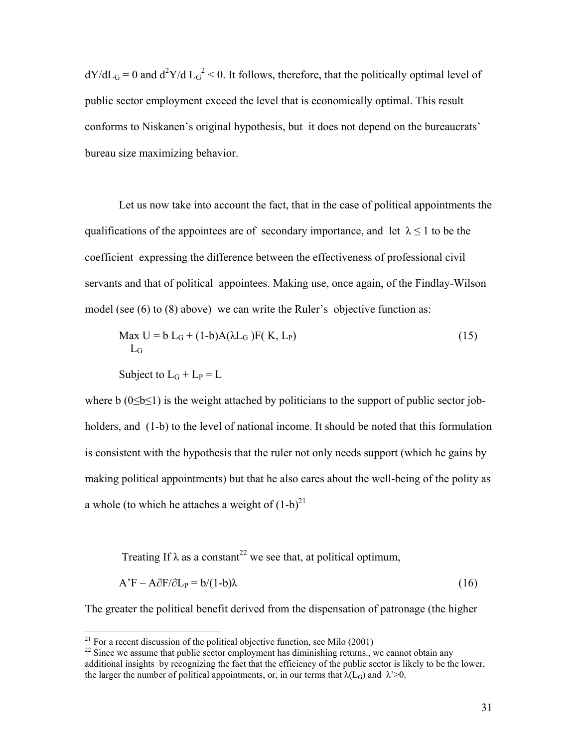$dY/dL<sub>G</sub> = 0$  and  $d^2Y/d L<sub>G</sub><sup>2</sup> < 0$ . It follows, therefore, that the politically optimal level of public sector employment exceed the level that is economically optimal. This result conforms to Niskanen's original hypothesis, but it does not depend on the bureaucrats' bureau size maximizing behavior.

 Let us now take into account the fact, that in the case of political appointments the qualifications of the appointees are of secondary importance, and let  $\lambda \leq 1$  to be the coefficient expressing the difference between the effectiveness of professional civil servants and that of political appointees. Making use, once again, of the Findlay-Wilson model (see (6) to (8) above) we can write the Ruler's objective function as:

$$
\begin{aligned} \text{Max } U &= b \, L_G + (1 - b) A (\lambda L_G) F(K, L_P) \\ L_G \end{aligned} \tag{15}
$$

$$
Subject to LG + LP = L
$$

 $\overline{a}$ 

where b  $(0 \le b \le 1)$  is the weight attached by politicians to the support of public sector jobholders, and (1-b) to the level of national income. It should be noted that this formulation is consistent with the hypothesis that the ruler not only needs support (which he gains by making political appointments) but that he also cares about the well-being of the polity as a whole (to which he attaches a weight of  $(1-b)^{21}$ 

Treating If  $\lambda$  as a constant<sup>22</sup> we see that, at political optimum,

$$
A'F - A\partial F/\partial L_P = b/(1-b)\lambda
$$
 (16)

The greater the political benefit derived from the dispensation of patronage (the higher

<sup>&</sup>lt;sup>21</sup> For a recent discussion of the political objective function, see Milo (2001)

 $22$  Since we assume that public sector employment has diminishing returns., we cannot obtain any additional insights by recognizing the fact that the efficiency of the public sector is likely to be the lower, the larger the number of political appointments, or, in our terms that  $\lambda(L_G)$  and  $\lambda > 0$ .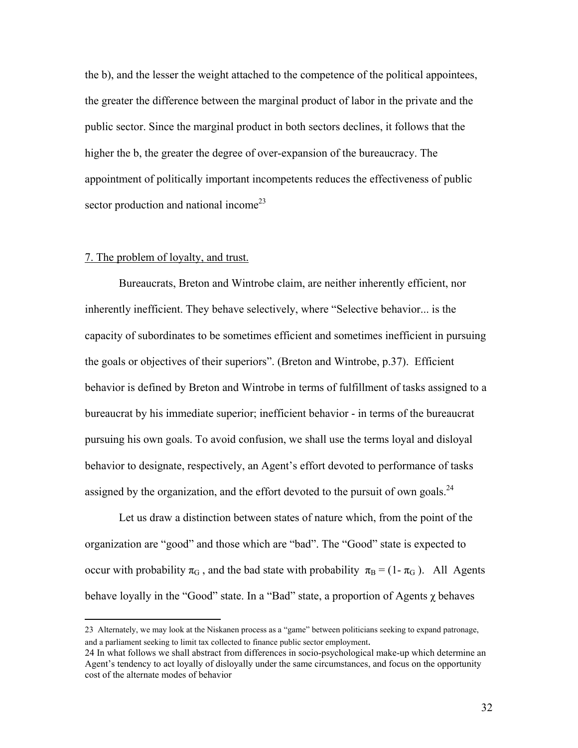the b), and the lesser the weight attached to the competence of the political appointees, the greater the difference between the marginal product of labor in the private and the public sector. Since the marginal product in both sectors declines, it follows that the higher the b, the greater the degree of over-expansion of the bureaucracy. The appointment of politically important incompetents reduces the effectiveness of public sector production and national income<sup>23</sup>

# 7. The problem of loyalty, and trust.

 $\overline{a}$ 

Bureaucrats, Breton and Wintrobe claim, are neither inherently efficient, nor inherently inefficient. They behave selectively, where "Selective behavior... is the capacity of subordinates to be sometimes efficient and sometimes inefficient in pursuing the goals or objectives of their superiors". (Breton and Wintrobe, p.37). Efficient behavior is defined by Breton and Wintrobe in terms of fulfillment of tasks assigned to a bureaucrat by his immediate superior; inefficient behavior - in terms of the bureaucrat pursuing his own goals. To avoid confusion, we shall use the terms loyal and disloyal behavior to designate, respectively, an Agent's effort devoted to performance of tasks assigned by the organization, and the effort devoted to the pursuit of own goals.<sup>24</sup>

Let us draw a distinction between states of nature which, from the point of the organization are "good" and those which are "bad". The "Good" state is expected to occur with probability  $\pi_G$ , and the bad state with probability  $\pi_B = (1 - \pi_G)$ . All Agents behave loyally in the "Good" state. In a "Bad" state, a proportion of Agents  $\chi$  behaves

<sup>23</sup> Alternately, we may look at the Niskanen process as a "game" between politicians seeking to expand patronage, and a parliament seeking to limit tax collected to finance public sector employment. 24 In what follows we shall abstract from differences in socio-psychological make-up which determine an

Agent's tendency to act loyally of disloyally under the same circumstances, and focus on the opportunity cost of the alternate modes of behavior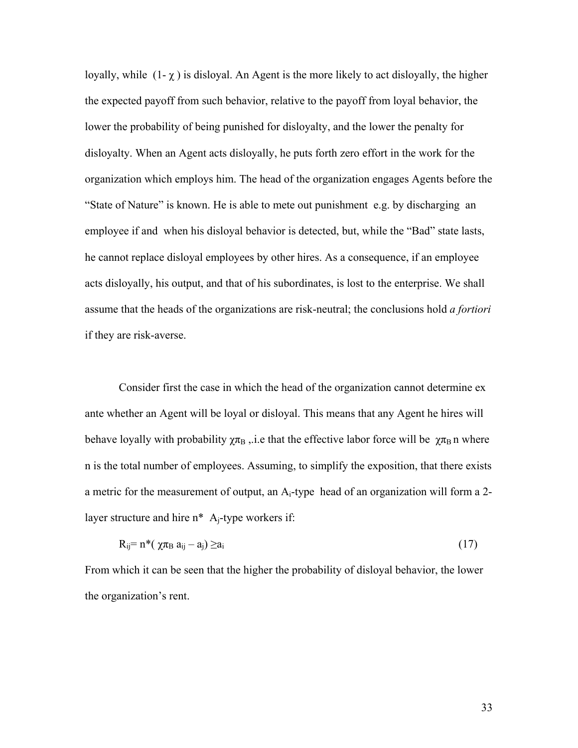loyally, while  $(1-\chi)$  is disloyal. An Agent is the more likely to act disloyally, the higher the expected payoff from such behavior, relative to the payoff from loyal behavior, the lower the probability of being punished for disloyalty, and the lower the penalty for disloyalty. When an Agent acts disloyally, he puts forth zero effort in the work for the organization which employs him. The head of the organization engages Agents before the "State of Nature" is known. He is able to mete out punishment e.g. by discharging an employee if and when his disloyal behavior is detected, but, while the "Bad" state lasts, he cannot replace disloyal employees by other hires. As a consequence, if an employee acts disloyally, his output, and that of his subordinates, is lost to the enterprise. We shall assume that the heads of the organizations are risk-neutral; the conclusions hold *a fortiori* if they are risk-averse.

Consider first the case in which the head of the organization cannot determine ex ante whether an Agent will be loyal or disloyal. This means that any Agent he hires will behave loyally with probability  $\chi \pi_B$ , i.e that the effective labor force will be  $\chi \pi_B$  n where n is the total number of employees. Assuming, to simplify the exposition, that there exists a metric for the measurement of output, an  $A_i$ -type head of an organization will form a 2layer structure and hire  $n^*$  A<sub>i</sub>-type workers if:

$$
R_{ij} = n^*( \chi \pi_B a_{ij} - a_j) \ge a_i
$$
 (17)

From which it can be seen that the higher the probability of disloyal behavior, the lower the organization's rent.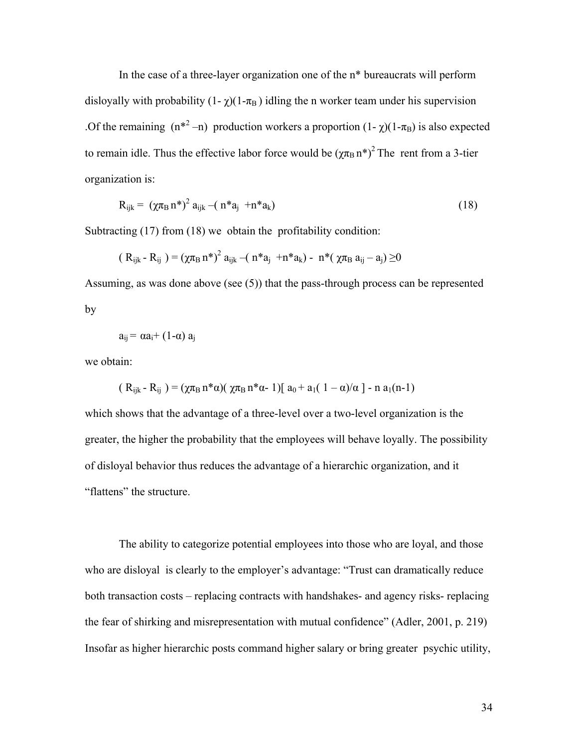In the case of a three-layer organization one of the n\* bureaucrats will perform disloyally with probability  $(1-\gamma)(1-\pi_B)$  idling the n worker team under his supervision .Of the remaining  $(n^{*2} - n)$  production workers a proportion  $(1 - \chi)(1 - \pi_B)$  is also expected to remain idle. Thus the effective labor force would be  $(\gamma \pi_B n^*)^2$  The rent from a 3-tier organization is:

$$
R_{ijk} = (\chi \pi_B n^*)^2 a_{ijk} - (n^* a_j + n^* a_k)
$$
\n(18)

Subtracting (17) from (18) we obtain the profitability condition:

$$
(\ R_{ijk} \text{-} \ R_{ij} \text{)} = (\chi \pi_B \, n^*)^2 \ a_{ijk} - \text{(} \ n^* a_j \ \text{+} n^* a_k \text{)} \text{-} \ n^* (\ \chi \pi_B \ a_{ij} - a_j \text{)} \geq \hspace{-10mm} 0
$$

Assuming, as was done above (see (5)) that the pass-through process can be represented by

$$
a_{ij} = \alpha a_i + (1-\alpha) a_j
$$

we obtain:

$$
(R_{ijk} - R_{ij}) = (\chi \pi_B n^* \alpha)(\chi \pi_B n^* \alpha - 1)[a_0 + a_1(1 - \alpha)/\alpha] - n a_1(n-1)
$$

which shows that the advantage of a three-level over a two-level organization is the greater, the higher the probability that the employees will behave loyally. The possibility of disloyal behavior thus reduces the advantage of a hierarchic organization, and it "flattens" the structure.

The ability to categorize potential employees into those who are loyal, and those who are disloyal is clearly to the employer's advantage: "Trust can dramatically reduce both transaction costs – replacing contracts with handshakes- and agency risks- replacing the fear of shirking and misrepresentation with mutual confidence" (Adler, 2001, p. 219) Insofar as higher hierarchic posts command higher salary or bring greater psychic utility,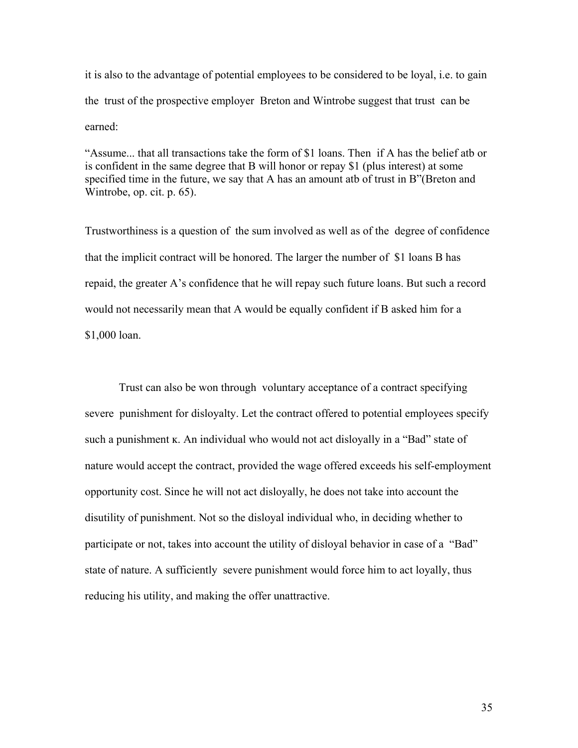it is also to the advantage of potential employees to be considered to be loyal, i.e. to gain the trust of the prospective employer Breton and Wintrobe suggest that trust can be earned:

"Assume... that all transactions take the form of \$1 loans. Then if A has the belief atb or is confident in the same degree that B will honor or repay \$1 (plus interest) at some specified time in the future, we say that A has an amount atb of trust in B"(Breton and Wintrobe, op. cit. p. 65).

Trustworthiness is a question of the sum involved as well as of the degree of confidence that the implicit contract will be honored. The larger the number of \$1 loans B has repaid, the greater A's confidence that he will repay such future loans. But such a record would not necessarily mean that A would be equally confident if B asked him for a \$1,000 loan.

 Trust can also be won through voluntary acceptance of a contract specifying severe punishment for disloyalty. Let the contract offered to potential employees specify such a punishment k. An individual who would not act disloyally in a "Bad" state of nature would accept the contract, provided the wage offered exceeds his self-employment opportunity cost. Since he will not act disloyally, he does not take into account the disutility of punishment. Not so the disloyal individual who, in deciding whether to participate or not, takes into account the utility of disloyal behavior in case of a "Bad" state of nature. A sufficiently severe punishment would force him to act loyally, thus reducing his utility, and making the offer unattractive.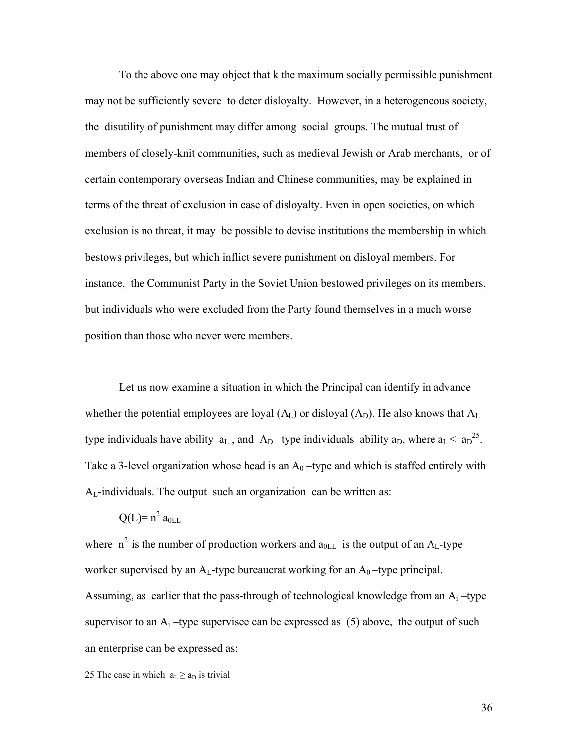To the above one may object that k the maximum socially permissible punishment may not be sufficiently severe to deter disloyalty. However, in a heterogeneous society, the disutility of punishment may differ among social groups. The mutual trust of members of closely-knit communities, such as medieval Jewish or Arab merchants, or of certain contemporary overseas Indian and Chinese communities, may be explained in terms of the threat of exclusion in case of disloyalty. Even in open societies, on which exclusion is no threat, it may be possible to devise institutions the membership in which bestows privileges, but which inflict severe punishment on disloyal members. For instance, the Communist Party in the Soviet Union bestowed privileges on its members, but individuals who were excluded from the Party found themselves in a much worse position than those who never were members.

 Let us now examine a situation in which the Principal can identify in advance whether the potential employees are loyal  $(A_L)$  or disloyal  $(A_D)$ . He also knows that  $A_L$  – type individuals have ability  $a_L$ , and  $A_D$ -type individuals ability  $a_D$ , where  $a_L < a_D^{25}$ . Take a 3-level organization whose head is an  $A_0$  –type and which is staffed entirely with  $A_L$ -individuals. The output such an organization can be written as:

$$
Q(L)=n^2\ a_{0LL}
$$

where  $n^2$  is the number of production workers and  $a_{0LL}$  is the output of an A<sub>L</sub>-type worker supervised by an  $A_L$ -type bureaucrat working for an  $A_0$ -type principal. Assuming, as earlier that the pass-through of technological knowledge from an  $A_i$ -type supervisor to an  $A_i$  –type supervisee can be expressed as (5) above, the output of such an enterprise can be expressed as:

<u>.</u>

<sup>25</sup> The case in which  $a_L \ge a_D$  is trivial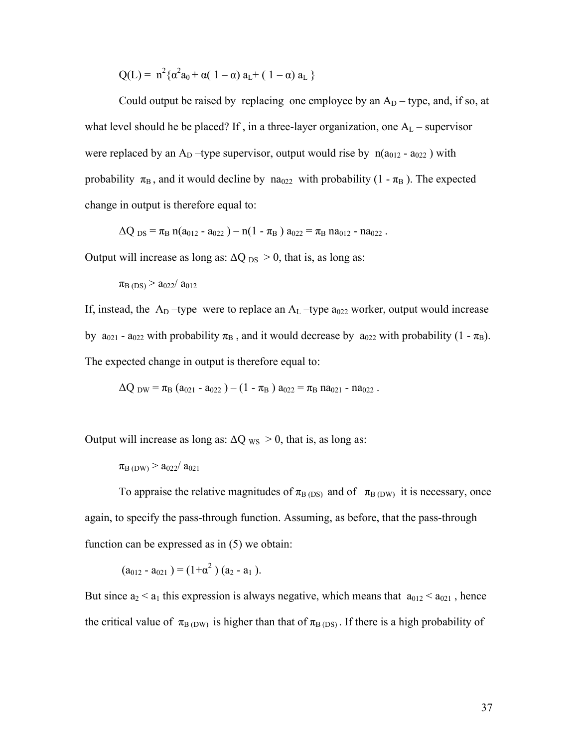$Q(L) = n^2 {\alpha^2 a_0} + \alpha (1 - \alpha) a_L + (1 - \alpha) a_L$ 

Could output be raised by replacing one employee by an  $A_D$  – type, and, if so, at what level should he be placed? If, in a three-layer organization, one  $A_L$  – supervisor were replaced by an  $A_D$  –type supervisor, output would rise by  $n(a_{012} - a_{022})$  with probability  $\pi_B$ , and it would decline by na<sub>022</sub> with probability (1 -  $\pi_B$ ). The expected change in output is therefore equal to:

 $\Delta Q_{DS} = \pi_B n(a_{012} - a_{022}) - n(1 - \pi_B) a_{022} = \pi_B n a_{012} - n a_{022}$ .

Output will increase as long as:  $\Delta Q_{DS} > 0$ , that is, as long as:

 $\pi_{\rm B\,(DS)}$  >  $a_{022}/a_{012}$ 

If, instead, the  $A_D$  –type were to replace an  $A_L$  –type  $a_{022}$  worker, output would increase by  $a_{021}$  -  $a_{022}$  with probability  $\pi_B$ , and it would decrease by  $a_{022}$  with probability (1 -  $\pi_B$ ). The expected change in output is therefore equal to:

 $\Delta Q_{DW} = \pi_B (a_{021} - a_{022}) - (1 - \pi_B) a_{022} = \pi_B n a_{021} - n a_{022}$ .

Output will increase as long as:  $\Delta Q_{WS} > 0$ , that is, as long as:

 $\pi_{\rm B\ (DW)}$  >  $a_{022}/a_{021}$ 

To appraise the relative magnitudes of  $\pi_{\rm B(DS)}$  and of  $\pi_{\rm B(DW)}$  it is necessary, once again, to specify the pass-through function. Assuming, as before, that the pass-through function can be expressed as in (5) we obtain:

 $(a_{012} - a_{021}) = (1 + \alpha^2) (a_2 - a_1).$ 

But since  $a_2 < a_1$  this expression is always negative, which means that  $a_{012} < a_{021}$ , hence the critical value of  $\pi_{B(DW)}$  is higher than that of  $\pi_{B(DS)}$ . If there is a high probability of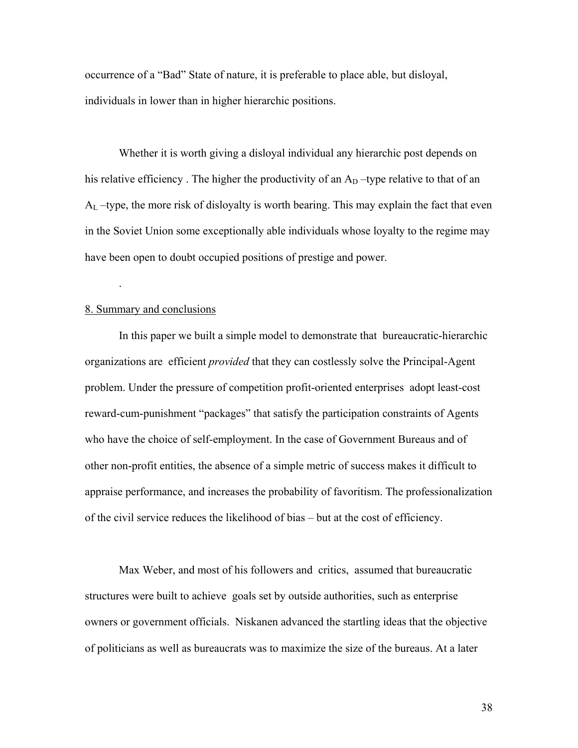occurrence of a "Bad" State of nature, it is preferable to place able, but disloyal, individuals in lower than in higher hierarchic positions.

Whether it is worth giving a disloyal individual any hierarchic post depends on his relative efficiency. The higher the productivity of an  $A<sub>D</sub>$  –type relative to that of an  $A_L$  –type, the more risk of disloyalty is worth bearing. This may explain the fact that even in the Soviet Union some exceptionally able individuals whose loyalty to the regime may have been open to doubt occupied positions of prestige and power.

## 8. Summary and conclusions

.

 In this paper we built a simple model to demonstrate that bureaucratic-hierarchic organizations are efficient *provided* that they can costlessly solve the Principal-Agent problem. Under the pressure of competition profit-oriented enterprises adopt least-cost reward-cum-punishment "packages" that satisfy the participation constraints of Agents who have the choice of self-employment. In the case of Government Bureaus and of other non-profit entities, the absence of a simple metric of success makes it difficult to appraise performance, and increases the probability of favoritism. The professionalization of the civil service reduces the likelihood of bias – but at the cost of efficiency.

Max Weber, and most of his followers and critics, assumed that bureaucratic structures were built to achieve goals set by outside authorities, such as enterprise owners or government officials. Niskanen advanced the startling ideas that the objective of politicians as well as bureaucrats was to maximize the size of the bureaus. At a later

38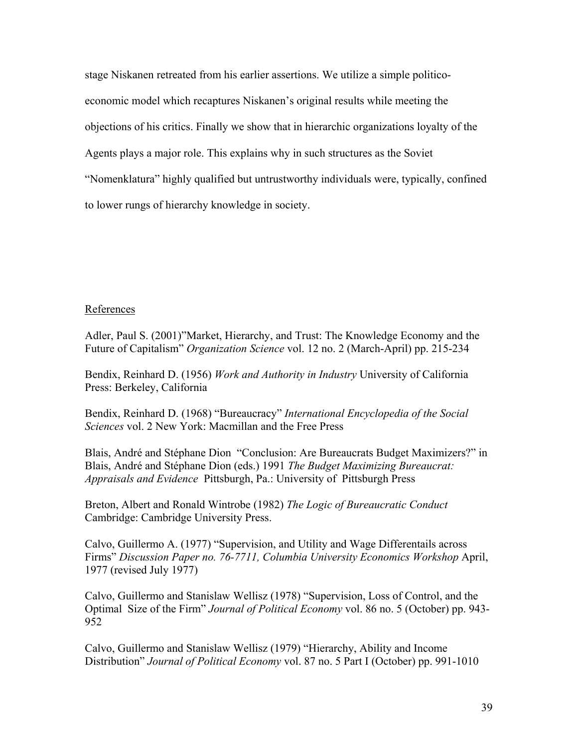stage Niskanen retreated from his earlier assertions. We utilize a simple politicoeconomic model which recaptures Niskanen's original results while meeting the objections of his critics. Finally we show that in hierarchic organizations loyalty of the Agents plays a major role. This explains why in such structures as the Soviet "Nomenklatura" highly qualified but untrustworthy individuals were, typically, confined to lower rungs of hierarchy knowledge in society.

# References

Adler, Paul S. (2001)"Market, Hierarchy, and Trust: The Knowledge Economy and the Future of Capitalism" *Organization Science* vol. 12 no. 2 (March-April) pp. 215-234

Bendix, Reinhard D. (1956) *Work and Authority in Industry* University of California Press: Berkeley, California

Bendix, Reinhard D. (1968) "Bureaucracy" *International Encyclopedia of the Social Sciences* vol. 2 New York: Macmillan and the Free Press

Blais, André and Stéphane Dion "Conclusion: Are Bureaucrats Budget Maximizers?" in Blais, André and Stéphane Dion (eds.) 1991 *The Budget Maximizing Bureaucrat: Appraisals and Evidence* Pittsburgh, Pa.: University of Pittsburgh Press

Breton, Albert and Ronald Wintrobe (1982) *The Logic of Bureaucratic Conduct* Cambridge: Cambridge University Press.

Calvo, Guillermo A. (1977) "Supervision, and Utility and Wage Differentails across Firms" *Discussion Paper no. 76-7711, Columbia University Economics Workshop* April, 1977 (revised July 1977)

Calvo, Guillermo and Stanislaw Wellisz (1978) "Supervision, Loss of Control, and the Optimal Size of the Firm" *Journal of Political Economy* vol. 86 no. 5 (October) pp. 943- 952

Calvo, Guillermo and Stanislaw Wellisz (1979) "Hierarchy, Ability and Income Distribution" *Journal of Political Economy* vol. 87 no. 5 Part I (October) pp. 991-1010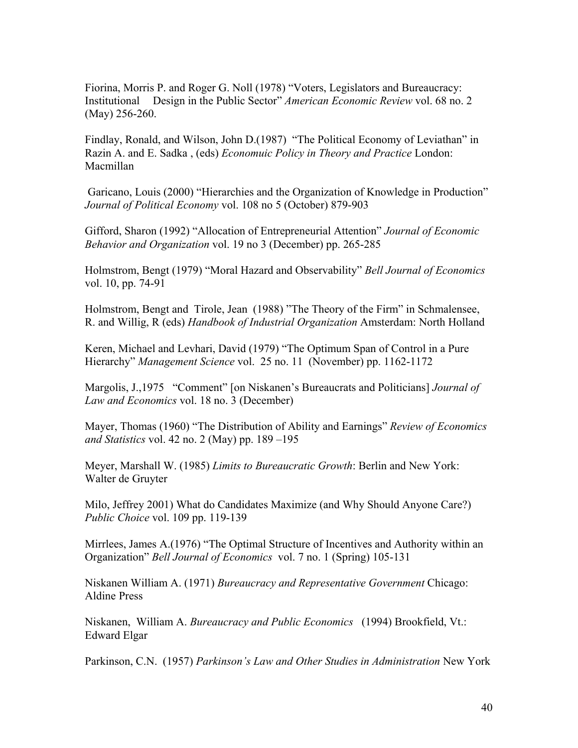Fiorina, Morris P. and Roger G. Noll (1978) "Voters, Legislators and Bureaucracy: Institutional Design in the Public Sector" *American Economic Review* vol. 68 no. 2 (May) 256-260.

Findlay, Ronald, and Wilson, John D.(1987) "The Political Economy of Leviathan" in Razin A. and E. Sadka , (eds) *Economuic Policy in Theory and Practice* London: Macmillan

 Garicano, Louis (2000) "Hierarchies and the Organization of Knowledge in Production" *Journal of Political Economy* vol. 108 no 5 (October) 879-903

Gifford, Sharon (1992) "Allocation of Entrepreneurial Attention" *Journal of Economic Behavior and Organization* vol. 19 no 3 (December) pp. 265-285

Holmstrom, Bengt (1979) "Moral Hazard and Observability" *Bell Journal of Economics*  vol. 10, pp. 74-91

Holmstrom, Bengt and Tirole, Jean (1988) "The Theory of the Firm" in Schmalensee, R. and Willig, R (eds) *Handbook of Industrial Organization* Amsterdam: North Holland

Keren, Michael and Levhari, David (1979) "The Optimum Span of Control in a Pure Hierarchy" *Management Science* vol. 25 no. 11 (November) pp. 1162-1172

Margolis, J.,1975 "Comment" [on Niskanen's Bureaucrats and Politicians] *Journal of Law and Economics* vol. 18 no. 3 (December)

Mayer, Thomas (1960) "The Distribution of Ability and Earnings" *Review of Economics and Statistics* vol. 42 no. 2 (May) pp. 189 –195

Meyer, Marshall W. (1985) *Limits to Bureaucratic Growth*: Berlin and New York: Walter de Gruyter

Milo, Jeffrey 2001) What do Candidates Maximize (and Why Should Anyone Care?) *Public Choice* vol. 109 pp. 119-139

Mirrlees, James A.(1976) "The Optimal Structure of Incentives and Authority within an Organization" *Bell Journal of Economics* vol. 7 no. 1 (Spring) 105-131

Niskanen William A. (1971) *Bureaucracy and Representative Government* Chicago: Aldine Press

Niskanen, William A. *Bureaucracy and Public Economics* (1994) Brookfield, Vt.: Edward Elgar

Parkinson, C.N. (1957) *Parkinson's Law and Other Studies in Administration* New York